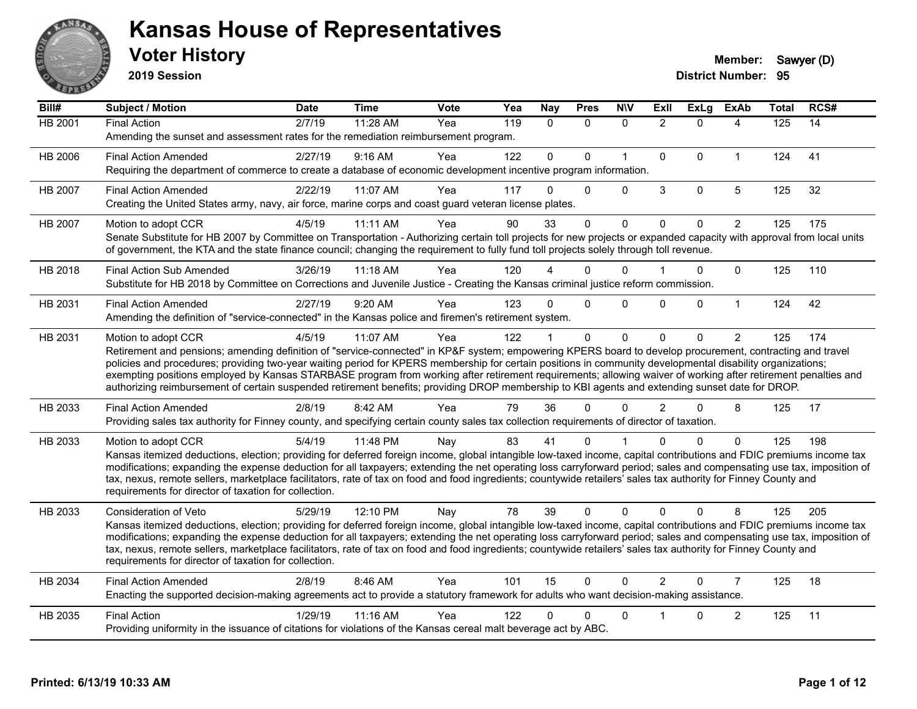

**2019 Session**

| Bill#          | Subject / Motion                                                                                                                                                                                                                                                                                                                         | <b>Date</b>     | <b>Time</b> | Vote | Yea | Nay          | <b>Pres</b>  | <b>NIV</b>  | ExII           | ExLg         | <b>ExAb</b>    | <b>Total</b>     | RCS# |
|----------------|------------------------------------------------------------------------------------------------------------------------------------------------------------------------------------------------------------------------------------------------------------------------------------------------------------------------------------------|-----------------|-------------|------|-----|--------------|--------------|-------------|----------------|--------------|----------------|------------------|------|
| <b>HB 2001</b> | <b>Final Action</b>                                                                                                                                                                                                                                                                                                                      | $\sqrt{2}/7/19$ | 11:28 AM    | Yea  | 119 | $\mathbf{0}$ | $\mathbf{0}$ | $\mathbf 0$ | $\overline{2}$ | $\Omega$     | 4              | $\overline{125}$ | 14   |
|                | Amending the sunset and assessment rates for the remediation reimbursement program.                                                                                                                                                                                                                                                      |                 |             |      |     |              |              |             |                |              |                |                  |      |
| HB 2006        | <b>Final Action Amended</b>                                                                                                                                                                                                                                                                                                              | 2/27/19         | $9:16$ AM   | Yea  | 122 | $\mathbf{0}$ | $\Omega$     | $\mathbf 1$ | $\mathbf{0}$   | $\Omega$     | $\mathbf{1}$   | 124              | 41   |
|                | Requiring the department of commerce to create a database of economic development incentive program information.                                                                                                                                                                                                                         |                 |             |      |     |              |              |             |                |              |                |                  |      |
| HB 2007        | <b>Final Action Amended</b>                                                                                                                                                                                                                                                                                                              | 2/22/19         | 11:07 AM    | Yea  | 117 | 0            | $\Omega$     | $\Omega$    | 3              | $\mathbf 0$  | 5              | 125              | 32   |
|                | Creating the United States army, navy, air force, marine corps and coast guard veteran license plates.                                                                                                                                                                                                                                   |                 |             |      |     |              |              |             |                |              |                |                  |      |
| <b>HB 2007</b> | Motion to adopt CCR                                                                                                                                                                                                                                                                                                                      | 4/5/19          | 11:11 AM    | Yea  | 90  | 33           | $\Omega$     | $\mathbf 0$ | $\mathbf 0$    | $\mathbf{0}$ | $\overline{2}$ | 125              | 175  |
|                | Senate Substitute for HB 2007 by Committee on Transportation - Authorizing certain toll projects for new projects or expanded capacity with approval from local units<br>of government, the KTA and the state finance council; changing the requirement to fully fund toll projects solely through toll revenue.                         |                 |             |      |     |              |              |             |                |              |                |                  |      |
|                |                                                                                                                                                                                                                                                                                                                                          |                 |             |      |     |              |              |             |                |              |                |                  |      |
| HB 2018        | <b>Final Action Sub Amended</b>                                                                                                                                                                                                                                                                                                          | 3/26/19         | $11:18$ AM  | Yea  | 120 |              | 0            | $\Omega$    |                | 0            | $\Omega$       | 125              | 110  |
|                | Substitute for HB 2018 by Committee on Corrections and Juvenile Justice - Creating the Kansas criminal justice reform commission.                                                                                                                                                                                                        |                 |             |      |     |              |              |             |                |              |                |                  |      |
| HB 2031        | <b>Final Action Amended</b>                                                                                                                                                                                                                                                                                                              | 2/27/19         | 9:20 AM     | Yea  | 123 | $\Omega$     | $\Omega$     | $\Omega$    | $\Omega$       | $\mathbf 0$  | $\mathbf{1}$   | 124              | 42   |
|                | Amending the definition of "service-connected" in the Kansas police and firemen's retirement system.                                                                                                                                                                                                                                     |                 |             |      |     |              |              |             |                |              |                |                  |      |
| HB 2031        | Motion to adopt CCR                                                                                                                                                                                                                                                                                                                      | 4/5/19          | 11:07 AM    | Yea  | 122 |              | $\mathbf 0$  | $\mathbf 0$ | $\Omega$       | $\Omega$     | $\overline{2}$ | 125              | 174  |
|                | Retirement and pensions; amending definition of "service-connected" in KP&F system; empowering KPERS board to develop procurement, contracting and travel                                                                                                                                                                                |                 |             |      |     |              |              |             |                |              |                |                  |      |
|                | policies and procedures; providing two-year waiting period for KPERS membership for certain positions in community developmental disability organizations;<br>exempting positions employed by Kansas STARBASE program from working after retirement requirements; allowing waiver of working after retirement penalties and              |                 |             |      |     |              |              |             |                |              |                |                  |      |
|                | authorizing reimbursement of certain suspended retirement benefits; providing DROP membership to KBI agents and extending sunset date for DROP.                                                                                                                                                                                          |                 |             |      |     |              |              |             |                |              |                |                  |      |
| HB 2033        | <b>Final Action Amended</b>                                                                                                                                                                                                                                                                                                              | 2/8/19          | 8:42 AM     | Yea  | 79  | 36           | 0            | $\Omega$    | $\mathcal{P}$  | $\Omega$     | 8              | 125              | 17   |
|                | Providing sales tax authority for Finney county, and specifying certain county sales tax collection requirements of director of taxation.                                                                                                                                                                                                |                 |             |      |     |              |              |             |                |              |                |                  |      |
| HB 2033        | Motion to adopt CCR                                                                                                                                                                                                                                                                                                                      | 5/4/19          | 11:48 PM    | Nay  | 83  | 41           | 0            |             | n              | 0            | $\mathbf{0}$   | 125              | 198  |
|                | Kansas itemized deductions, election; providing for deferred foreign income, global intangible low-taxed income, capital contributions and FDIC premiums income tax                                                                                                                                                                      |                 |             |      |     |              |              |             |                |              |                |                  |      |
|                | modifications; expanding the expense deduction for all taxpayers; extending the net operating loss carryforward period; sales and compensating use tax, imposition of<br>tax, nexus, remote sellers, marketplace facilitators, rate of tax on food and food ingredients; countywide retailers' sales tax authority for Finney County and |                 |             |      |     |              |              |             |                |              |                |                  |      |
|                | requirements for director of taxation for collection.                                                                                                                                                                                                                                                                                    |                 |             |      |     |              |              |             |                |              |                |                  |      |
| HB 2033        | Consideration of Veto                                                                                                                                                                                                                                                                                                                    | 5/29/19         | 12:10 PM    | Nay  | 78  | 39           | $\Omega$     | $\Omega$    | $\Omega$       | $\Omega$     | 8              | 125              | 205  |
|                | Kansas itemized deductions, election; providing for deferred foreign income, global intangible low-taxed income, capital contributions and FDIC premiums income tax                                                                                                                                                                      |                 |             |      |     |              |              |             |                |              |                |                  |      |
|                | modifications; expanding the expense deduction for all taxpayers; extending the net operating loss carryforward period; sales and compensating use tax, imposition of                                                                                                                                                                    |                 |             |      |     |              |              |             |                |              |                |                  |      |
|                | tax, nexus, remote sellers, marketplace facilitators, rate of tax on food and food ingredients; countywide retailers' sales tax authority for Finney County and                                                                                                                                                                          |                 |             |      |     |              |              |             |                |              |                |                  |      |
|                | requirements for director of taxation for collection.                                                                                                                                                                                                                                                                                    |                 |             |      |     |              |              |             |                |              |                |                  |      |
| HB 2034        | <b>Final Action Amended</b>                                                                                                                                                                                                                                                                                                              | 2/8/19          | 8:46 AM     | Yea  | 101 | 15           | $\mathbf 0$  | $\Omega$    | $\mathcal{P}$  | $\Omega$     | $\overline{7}$ | 125              | 18   |
|                | Enacting the supported decision-making agreements act to provide a statutory framework for adults who want decision-making assistance.                                                                                                                                                                                                   |                 |             |      |     |              |              |             |                |              |                |                  |      |
| HB 2035        | <b>Final Action</b>                                                                                                                                                                                                                                                                                                                      | 1/29/19         | 11:16 AM    | Yea  | 122 | 0            | 0            | $\Omega$    |                | 0            | $\overline{c}$ | 125              | 11   |
|                | Providing uniformity in the issuance of citations for violations of the Kansas cereal malt beverage act by ABC.                                                                                                                                                                                                                          |                 |             |      |     |              |              |             |                |              |                |                  |      |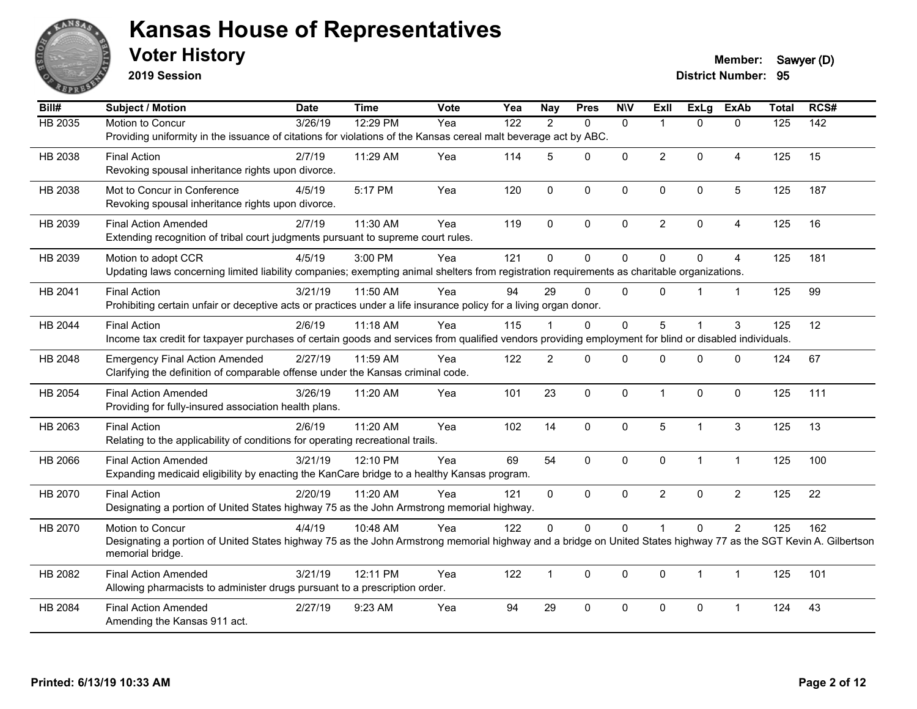

**2019 Session**

**Voter History Member:** Sawyer (D)

| Bill#          | Subject / Motion                                                                                                                                                 | <b>Date</b> | <b>Time</b> | Vote | Yea | <b>Nay</b>     | <b>Pres</b>  | <b>N\V</b>   | ExII           | ExLg           | <b>ExAb</b>    | <b>Total</b>     | RCS#             |
|----------------|------------------------------------------------------------------------------------------------------------------------------------------------------------------|-------------|-------------|------|-----|----------------|--------------|--------------|----------------|----------------|----------------|------------------|------------------|
| <b>HB 2035</b> | Motion to Concur                                                                                                                                                 | 3/26/19     | 12:29 PM    | Yea  | 122 | 2              | $\Omega$     | $\mathbf{0}$ |                | $\Omega$       | $\mathbf{0}$   | $\overline{125}$ | $\overline{142}$ |
|                | Providing uniformity in the issuance of citations for violations of the Kansas cereal malt beverage act by ABC.                                                  |             |             |      |     |                |              |              |                |                |                |                  |                  |
| HB 2038        | <b>Final Action</b>                                                                                                                                              | 2/7/19      | 11:29 AM    | Yea  | 114 | 5              | $\mathbf{0}$ | $\mathbf{0}$ | $\overline{2}$ | $\Omega$       | $\overline{A}$ | 125              | 15               |
|                | Revoking spousal inheritance rights upon divorce.                                                                                                                |             |             |      |     |                |              |              |                |                |                |                  |                  |
| HB 2038        | Mot to Concur in Conference                                                                                                                                      | 4/5/19      | 5:17 PM     | Yea  | 120 | $\mathbf 0$    | $\pmb{0}$    | $\mathbf 0$  | $\Omega$       | $\pmb{0}$      | 5              | 125              | 187              |
|                | Revoking spousal inheritance rights upon divorce.                                                                                                                |             |             |      |     |                |              |              |                |                |                |                  |                  |
| HB 2039        | <b>Final Action Amended</b>                                                                                                                                      | 2/7/19      | 11:30 AM    | Yea  | 119 | $\Omega$       | $\mathbf{0}$ | $\Omega$     | $\overline{a}$ | $\Omega$       | 4              | 125              | 16               |
|                | Extending recognition of tribal court judgments pursuant to supreme court rules.                                                                                 |             |             |      |     |                |              |              |                |                |                |                  |                  |
| HB 2039        | Motion to adopt CCR                                                                                                                                              | 4/5/19      | 3:00 PM     | Yea  | 121 | $\Omega$       | $\mathbf{0}$ | 0            | $\Omega$       | $\mathbf{0}$   | 4              | 125              | 181              |
|                | Updating laws concerning limited liability companies; exempting animal shelters from registration requirements as charitable organizations.                      |             |             |      |     |                |              |              |                |                |                |                  |                  |
| HB 2041        | <b>Final Action</b>                                                                                                                                              | 3/21/19     | 11:50 AM    | Yea  | 94  | 29             | $\mathbf 0$  | $\mathbf{0}$ | $\Omega$       |                | $\mathbf{1}$   | 125              | 99               |
|                | Prohibiting certain unfair or deceptive acts or practices under a life insurance policy for a living organ donor.                                                |             |             |      |     |                |              |              |                |                |                |                  |                  |
| HB 2044        | <b>Final Action</b>                                                                                                                                              | 2/6/19      | 11:18 AM    | Yea  | 115 |                | $\mathbf{0}$ | $\Omega$     | 5              |                | 3              | 125              | 12               |
|                | Income tax credit for taxpayer purchases of certain goods and services from qualified vendors providing employment for blind or disabled individuals.            |             |             |      |     |                |              |              |                |                |                |                  |                  |
| HB 2048        | <b>Emergency Final Action Amended</b>                                                                                                                            | 2/27/19     | 11:59 AM    | Yea  | 122 | $\overline{2}$ | $\Omega$     | 0            | $\Omega$       | $\mathbf 0$    | $\mathbf 0$    | 124              | 67               |
|                | Clarifying the definition of comparable offense under the Kansas criminal code.                                                                                  |             |             |      |     |                |              |              |                |                |                |                  |                  |
| HB 2054        | <b>Final Action Amended</b>                                                                                                                                      | 3/26/19     | 11:20 AM    | Yea  | 101 | 23             | $\mathbf 0$  | $\mathbf{0}$ | $\mathbf 1$    | $\mathbf 0$    | $\mathbf{0}$   | 125              | 111              |
|                | Providing for fully-insured association health plans.                                                                                                            |             |             |      |     |                |              |              |                |                |                |                  |                  |
| HB 2063        | <b>Final Action</b>                                                                                                                                              | 2/6/19      | 11:20 AM    | Yea  | 102 | 14             | $\mathbf 0$  | $\mathbf 0$  | 5              | $\mathbf 1$    | 3              | 125              | 13               |
|                | Relating to the applicability of conditions for operating recreational trails.                                                                                   |             |             |      |     |                |              |              |                |                |                |                  |                  |
| HB 2066        | <b>Final Action Amended</b>                                                                                                                                      | 3/21/19     | 12:10 PM    | Yea  | 69  | 54             | $\mathbf{0}$ | $\mathbf 0$  | $\mathbf{0}$   | $\mathbf{1}$   | $\mathbf{1}$   | 125              | 100              |
|                | Expanding medicaid eligibility by enacting the KanCare bridge to a healthy Kansas program.                                                                       |             |             |      |     |                |              |              |                |                |                |                  |                  |
| HB 2070        | <b>Final Action</b>                                                                                                                                              | 2/20/19     | $11:20$ AM  | Yea  | 121 | $\mathbf{0}$   | $\mathbf{0}$ | $\mathbf{0}$ | $\overline{2}$ | $\mathbf 0$    | $\overline{2}$ | 125              | 22               |
|                | Designating a portion of United States highway 75 as the John Armstrong memorial highway.                                                                        |             |             |      |     |                |              |              |                |                |                |                  |                  |
| HB 2070        | Motion to Concur                                                                                                                                                 | 4/4/19      | 10:48 AM    | Yea  | 122 | $\Omega$       | $\pmb{0}$    | 0            |                | $\mathbf 0$    | $\overline{2}$ | 125              | 162              |
|                | Designating a portion of United States highway 75 as the John Armstrong memorial highway and a bridge on United States highway 77 as the SGT Kevin A. Gilbertson |             |             |      |     |                |              |              |                |                |                |                  |                  |
|                | memorial bridge.                                                                                                                                                 |             |             |      |     |                |              |              |                |                |                |                  |                  |
| HB 2082        | <b>Final Action Amended</b>                                                                                                                                      | 3/21/19     | 12:11 PM    | Yea  | 122 | $\mathbf{1}$   | $\mathbf{0}$ | 0            | $\Omega$       | $\overline{1}$ | $\mathbf{1}$   | 125              | 101              |
|                | Allowing pharmacists to administer drugs pursuant to a prescription order.                                                                                       |             |             |      |     |                |              |              |                |                |                |                  |                  |
| HB 2084        | <b>Final Action Amended</b>                                                                                                                                      | 2/27/19     | 9:23 AM     | Yea  | 94  | 29             | $\mathbf 0$  | 0            | 0              | $\pmb{0}$      | 1              | 124              | 43               |
|                | Amending the Kansas 911 act.                                                                                                                                     |             |             |      |     |                |              |              |                |                |                |                  |                  |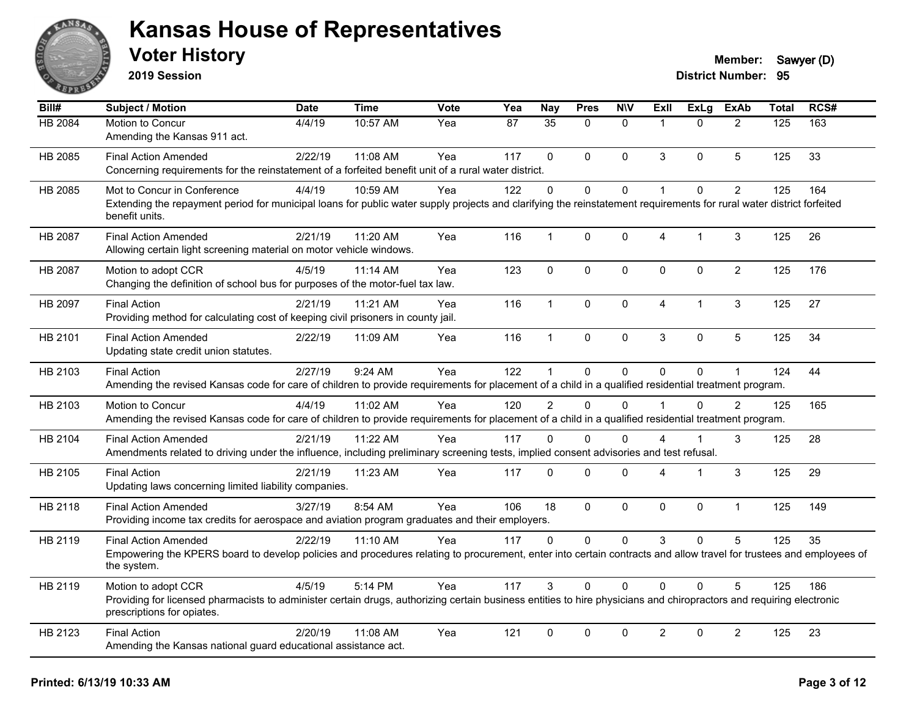

**2019 Session**

| Bill#   | Subject / Motion                                                                                                                                                                                                         | <b>Date</b> | <b>Time</b> | <b>Vote</b> | Yea | <b>Nay</b>     | <b>Pres</b>  | <b>N\V</b>   | ExII           | <b>ExLg</b> | <b>ExAb</b>    | <b>Total</b> | RCS# |
|---------|--------------------------------------------------------------------------------------------------------------------------------------------------------------------------------------------------------------------------|-------------|-------------|-------------|-----|----------------|--------------|--------------|----------------|-------------|----------------|--------------|------|
| HB 2084 | Motion to Concur<br>Amending the Kansas 911 act.                                                                                                                                                                         | 4/4/19      | 10:57 AM    | Yea         | 87  | 35             | $\Omega$     | $\mathbf{0}$ | $\overline{1}$ | $\Omega$    | $\overline{2}$ | 125          | 163  |
| HB 2085 | <b>Final Action Amended</b><br>Concerning requirements for the reinstatement of a forfeited benefit unit of a rural water district.                                                                                      | 2/22/19     | 11:08 AM    | Yea         | 117 | $\mathbf{0}$   | $\Omega$     | $\Omega$     | 3              | $\Omega$    | 5              | 125          | 33   |
| HB 2085 | Mot to Concur in Conference<br>Extending the repayment period for municipal loans for public water supply projects and clarifying the reinstatement requirements for rural water district forfeited<br>benefit units.    | 4/4/19      | 10:59 AM    | Yea         | 122 | $\mathbf 0$    | 0            | 0            | $\overline{1}$ | $\Omega$    | $\overline{2}$ | 125          | 164  |
| HB 2087 | <b>Final Action Amended</b><br>Allowing certain light screening material on motor vehicle windows.                                                                                                                       | 2/21/19     | 11:20 AM    | Yea         | 116 | $\mathbf{1}$   | $\mathbf 0$  | 0            | 4              | 1           | 3              | 125          | 26   |
| HB 2087 | Motion to adopt CCR<br>Changing the definition of school bus for purposes of the motor-fuel tax law.                                                                                                                     | 4/5/19      | 11:14 AM    | Yea         | 123 | $\mathbf{0}$   | 0            | 0            | $\Omega$       | 0           | $\overline{2}$ | 125          | 176  |
| HB 2097 | <b>Final Action</b><br>Providing method for calculating cost of keeping civil prisoners in county jail.                                                                                                                  | 2/21/19     | 11:21 AM    | Yea         | 116 | $\mathbf{1}$   | $\mathbf{0}$ | $\Omega$     | $\overline{4}$ | 1           | 3              | 125          | 27   |
| HB 2101 | <b>Final Action Amended</b><br>Updating state credit union statutes.                                                                                                                                                     | 2/22/19     | 11:09 AM    | Yea         | 116 | $\mathbf{1}$   | 0            | 0            | 3              | 0           | 5              | 125          | 34   |
| HB 2103 | <b>Final Action</b><br>Amending the revised Kansas code for care of children to provide requirements for placement of a child in a qualified residential treatment program.                                              | 2/27/19     | 9:24 AM     | Yea         | 122 | $\mathbf{1}$   | $\mathbf 0$  | 0            | $\Omega$       | 0           |                | 124          | 44   |
| HB 2103 | Motion to Concur<br>Amending the revised Kansas code for care of children to provide requirements for placement of a child in a qualified residential treatment program.                                                 | 4/4/19      | 11:02 AM    | Yea         | 120 | $\overline{2}$ | $\Omega$     | $\Omega$     |                | $\Omega$    | 2              | 125          | 165  |
| HB 2104 | <b>Final Action Amended</b><br>Amendments related to driving under the influence, including preliminary screening tests, implied consent advisories and test refusal.                                                    | 2/21/19     | 11:22 AM    | Yea         | 117 | 0              | $\mathbf{0}$ | $\Omega$     | 4              |             | 3              | 125          | 28   |
| HB 2105 | <b>Final Action</b><br>Updating laws concerning limited liability companies.                                                                                                                                             | 2/21/19     | 11:23 AM    | Yea         | 117 | 0              | $\mathbf 0$  | $\mathbf 0$  | 4              | 1           | 3              | 125          | 29   |
| HB 2118 | <b>Final Action Amended</b><br>Providing income tax credits for aerospace and aviation program graduates and their employers.                                                                                            | 3/27/19     | 8:54 AM     | Yea         | 106 | 18             | $\Omega$     | 0            | $\Omega$       | $\mathbf 0$ | $\mathbf{1}$   | 125          | 149  |
| HB 2119 | <b>Final Action Amended</b><br>Empowering the KPERS board to develop policies and procedures relating to procurement, enter into certain contracts and allow travel for trustees and employees of<br>the system.         | 2/22/19     | 11:10 AM    | Yea         | 117 | $\Omega$       | 0            | $\Omega$     | 3              | $\mathbf 0$ | 5              | 125          | 35   |
| HB 2119 | Motion to adopt CCR<br>Providing for licensed pharmacists to administer certain drugs, authorizing certain business entities to hire physicians and chiropractors and requiring electronic<br>prescriptions for opiates. | 4/5/19      | 5:14 PM     | Yea         | 117 | 3              | $\Omega$     | $\Omega$     | $\Omega$       | $\Omega$    | 5              | 125          | 186  |
| HB 2123 | <b>Final Action</b><br>Amending the Kansas national guard educational assistance act.                                                                                                                                    | 2/20/19     | 11:08 AM    | Yea         | 121 | $\mathbf 0$    | $\mathbf 0$  | 0            | $\overline{2}$ | 0           | $\overline{2}$ | 125          | 23   |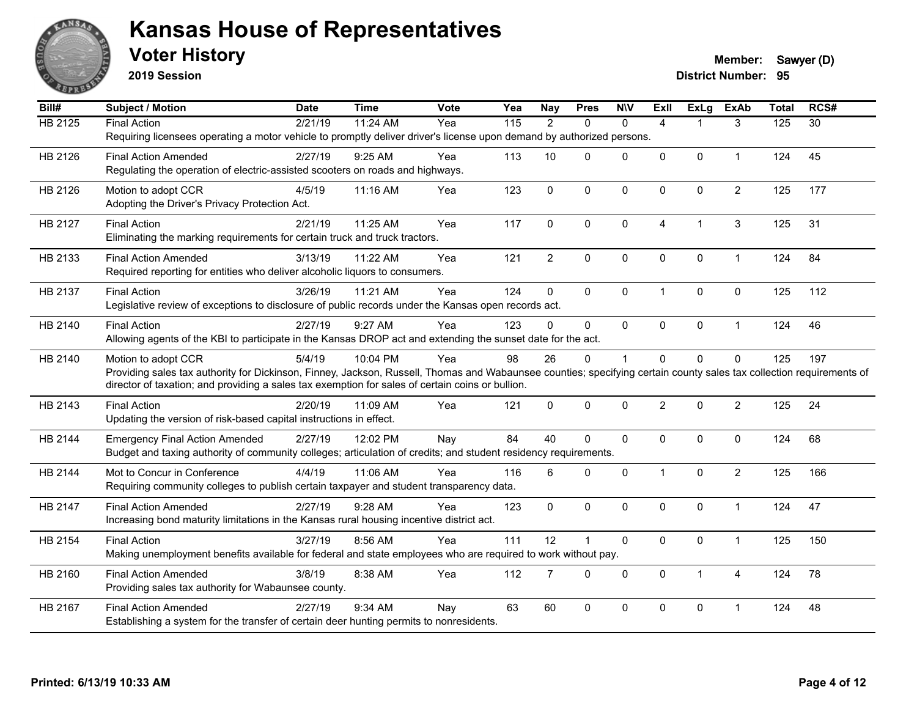

**2019 Session**

| Bill#          | <b>Subject / Motion</b>                                                                                                                                              | <b>Date</b> | <b>Time</b> | Vote | Yea               | <b>Nay</b>     | <b>Pres</b>  | <b>NIV</b>   | <b>ExII</b>    | <b>ExLg</b>  | <b>ExAb</b>    | <b>Total</b> | RCS#            |
|----------------|----------------------------------------------------------------------------------------------------------------------------------------------------------------------|-------------|-------------|------|-------------------|----------------|--------------|--------------|----------------|--------------|----------------|--------------|-----------------|
| <b>HB 2125</b> | <b>Final Action</b>                                                                                                                                                  | 2/21/19     | 11:24 AM    | Yea  | $\frac{115}{115}$ | $\overline{2}$ | $\Omega$     | $\mathbf{0}$ | $\overline{4}$ |              | 3              | 125          | $\overline{30}$ |
|                | Requiring licensees operating a motor vehicle to promptly deliver driver's license upon demand by authorized persons.                                                |             |             |      |                   |                |              |              |                |              |                |              |                 |
| HB 2126        | <b>Final Action Amended</b>                                                                                                                                          | 2/27/19     | 9:25 AM     | Yea  | 113               | 10             | $\mathbf{0}$ | $\mathbf 0$  | 0              | 0            | $\mathbf{1}$   | 124          | 45              |
|                | Regulating the operation of electric-assisted scooters on roads and highways.                                                                                        |             |             |      |                   |                |              |              |                |              |                |              |                 |
| HB 2126        | Motion to adopt CCR                                                                                                                                                  | 4/5/19      | 11:16 AM    | Yea  | 123               | $\mathbf 0$    | $\mathbf 0$  | $\mathbf 0$  | $\Omega$       | 0            | $\overline{2}$ | 125          | 177             |
|                | Adopting the Driver's Privacy Protection Act.                                                                                                                        |             |             |      |                   |                |              |              |                |              |                |              |                 |
| HB 2127        | <b>Final Action</b>                                                                                                                                                  | 2/21/19     | 11:25 AM    | Yea  | 117               | 0              | $\mathbf 0$  | $\Omega$     | 4              | $\mathbf{1}$ | 3              | 125          | 31              |
|                | Eliminating the marking requirements for certain truck and truck tractors.                                                                                           |             |             |      |                   |                |              |              |                |              |                |              |                 |
|                |                                                                                                                                                                      |             |             |      |                   |                |              |              |                |              |                |              |                 |
| HB 2133        | <b>Final Action Amended</b>                                                                                                                                          | 3/13/19     | 11:22 AM    | Yea  | 121               | $\overline{2}$ | $\pmb{0}$    | $\mathbf 0$  | 0              | $\pmb{0}$    | $\mathbf{1}$   | 124          | 84              |
|                | Required reporting for entities who deliver alcoholic liquors to consumers.                                                                                          |             |             |      |                   |                |              |              |                |              |                |              |                 |
| HB 2137        | <b>Final Action</b>                                                                                                                                                  | 3/26/19     | 11:21 AM    | Yea  | 124               | $\Omega$       | $\mathbf{0}$ | $\mathbf{0}$ | 1              | $\Omega$     | $\mathbf{0}$   | 125          | 112             |
|                | Legislative review of exceptions to disclosure of public records under the Kansas open records act.                                                                  |             |             |      |                   |                |              |              |                |              |                |              |                 |
| HB 2140        | <b>Final Action</b>                                                                                                                                                  | 2/27/19     | 9:27 AM     | Yea  | 123               | $\Omega$       | $\Omega$     | $\mathbf{0}$ | $\Omega$       | 0            | $\mathbf{1}$   | 124          | 46              |
|                | Allowing agents of the KBI to participate in the Kansas DROP act and extending the sunset date for the act.                                                          |             |             |      |                   |                |              |              |                |              |                |              |                 |
| HB 2140        | Motion to adopt CCR                                                                                                                                                  | 5/4/19      | 10:04 PM    | Yea  | 98                | 26             | 0            | $\mathbf{1}$ | $\Omega$       | 0            | $\mathbf 0$    | 125          | 197             |
|                | Providing sales tax authority for Dickinson, Finney, Jackson, Russell, Thomas and Wabaunsee counties; specifying certain county sales tax collection requirements of |             |             |      |                   |                |              |              |                |              |                |              |                 |
|                | director of taxation; and providing a sales tax exemption for sales of certain coins or bullion.                                                                     |             |             |      |                   |                |              |              |                |              |                |              |                 |
| HB 2143        | <b>Final Action</b>                                                                                                                                                  | 2/20/19     | 11:09 AM    | Yea  | 121               | 0              | $\mathbf{0}$ | $\mathbf{0}$ | $\overline{2}$ | $\Omega$     | $\overline{2}$ | 125          | 24              |
|                | Updating the version of risk-based capital instructions in effect.                                                                                                   |             |             |      |                   |                |              |              |                |              |                |              |                 |
| HB 2144        | <b>Emergency Final Action Amended</b>                                                                                                                                | 2/27/19     | 12:02 PM    | Nay  | 84                | 40             | $\mathbf 0$  | $\mathbf 0$  | 0              | 0            | $\mathbf 0$    | 124          | 68              |
|                | Budget and taxing authority of community colleges; articulation of credits; and student residency requirements.                                                      |             |             |      |                   |                |              |              |                |              |                |              |                 |
|                |                                                                                                                                                                      |             |             |      |                   |                |              |              |                |              |                |              |                 |
| HB 2144        | Mot to Concur in Conference<br>Requiring community colleges to publish certain taxpayer and student transparency data.                                               | 4/4/19      | 11:06 AM    | Yea  | 116               | 6              | $\mathbf 0$  | $\mathbf 0$  | 1              | 0            | $\overline{c}$ | 125          | 166             |
|                |                                                                                                                                                                      |             |             |      |                   |                |              |              |                |              |                |              |                 |
| HB 2147        | <b>Final Action Amended</b>                                                                                                                                          | 2/27/19     | 9:28 AM     | Yea  | 123               | $\mathbf{0}$   | $\mathbf{0}$ | $\mathbf{0}$ | $\Omega$       | $\Omega$     | 1              | 124          | 47              |
|                | Increasing bond maturity limitations in the Kansas rural housing incentive district act.                                                                             |             |             |      |                   |                |              |              |                |              |                |              |                 |
| HB 2154        | <b>Final Action</b>                                                                                                                                                  | 3/27/19     | 8:56 AM     | Yea  | 111               | 12             | 1            | $\mathbf 0$  | 0              | 0            | $\overline{1}$ | 125          | 150             |
|                | Making unemployment benefits available for federal and state employees who are required to work without pay.                                                         |             |             |      |                   |                |              |              |                |              |                |              |                 |
| HB 2160        | <b>Final Action Amended</b>                                                                                                                                          | 3/8/19      | 8:38 AM     | Yea  | 112               | $\overline{7}$ | $\mathbf 0$  | $\mathbf 0$  | 0              | $\mathbf{1}$ | $\overline{4}$ | 124          | 78              |
|                | Providing sales tax authority for Wabaunsee county.                                                                                                                  |             |             |      |                   |                |              |              |                |              |                |              |                 |
| HB 2167        | <b>Final Action Amended</b>                                                                                                                                          | 2/27/19     | 9:34 AM     | Nav  | 63                | 60             | $\mathbf 0$  | $\Omega$     | $\Omega$       | 0            | -1             | 124          | 48              |
|                | Establishing a system for the transfer of certain deer hunting permits to nonresidents.                                                                              |             |             |      |                   |                |              |              |                |              |                |              |                 |
|                |                                                                                                                                                                      |             |             |      |                   |                |              |              |                |              |                |              |                 |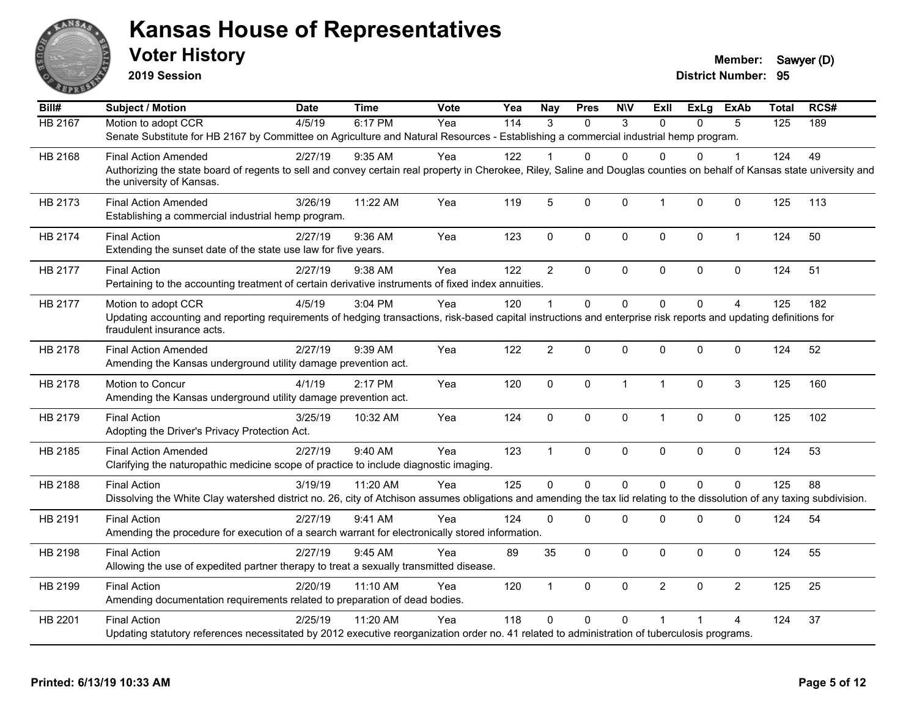

**2019 Session**

| Bill#          | <b>Subject / Motion</b>                                                                                                                                                                                               | <b>Date</b> | <b>Time</b> | <b>Vote</b> | Yea | <b>Nay</b>     | <b>Pres</b>    | <b>NIV</b>   | ExII           | <b>ExLg</b> | <b>ExAb</b>    | <b>Total</b> | RCS# |
|----------------|-----------------------------------------------------------------------------------------------------------------------------------------------------------------------------------------------------------------------|-------------|-------------|-------------|-----|----------------|----------------|--------------|----------------|-------------|----------------|--------------|------|
| <b>HB 2167</b> | Motion to adopt CCR                                                                                                                                                                                                   | 4/5/19      | 6:17 PM     | Yea         | 114 | 3              | $\Omega$       | 3            | $\Omega$       | $\Omega$    | 5              | 125          | 189  |
|                | Senate Substitute for HB 2167 by Committee on Agriculture and Natural Resources - Establishing a commercial industrial hemp program.                                                                                  |             |             |             |     |                |                |              |                |             |                |              |      |
| HB 2168        | <b>Final Action Amended</b>                                                                                                                                                                                           | 2/27/19     | $9:35$ AM   | Yea         | 122 |                | 0              | $\Omega$     | $\Omega$       | $\Omega$    | 1              | 124          | 49   |
|                | Authorizing the state board of regents to sell and convey certain real property in Cherokee, Riley, Saline and Douglas counties on behalf of Kansas state university and<br>the university of Kansas.                 |             |             |             |     |                |                |              |                |             |                |              |      |
| HB 2173        | <b>Final Action Amended</b><br>Establishing a commercial industrial hemp program.                                                                                                                                     | 3/26/19     | 11:22 AM    | Yea         | 119 | 5              | 0              | $\mathbf 0$  | $\mathbf{1}$   | 0           | $\mathbf 0$    | 125          | 113  |
| HB 2174        | <b>Final Action</b><br>Extending the sunset date of the state use law for five years.                                                                                                                                 | 2/27/19     | 9:36 AM     | Yea         | 123 | $\mathbf 0$    | 0              | $\mathbf 0$  | $\mathbf 0$    | $\mathbf 0$ | $\mathbf{1}$   | 124          | 50   |
| HB 2177        | <b>Final Action</b><br>Pertaining to the accounting treatment of certain derivative instruments of fixed index annuities.                                                                                             | 2/27/19     | 9:38 AM     | Yea         | 122 | $\overline{2}$ | 0              | $\mathbf 0$  | $\mathbf 0$    | $\Omega$    | $\mathbf 0$    | 124          | 51   |
| HB 2177        | Motion to adopt CCR<br>Updating accounting and reporting requirements of hedging transactions, risk-based capital instructions and enterprise risk reports and updating definitions for<br>fraudulent insurance acts. | 4/5/19      | 3:04 PM     | Yea         | 120 | $\overline{1}$ | $\Omega$       | $\Omega$     | $\Omega$       | $\Omega$    | 4              | 125          | 182  |
| HB 2178        | <b>Final Action Amended</b><br>Amending the Kansas underground utility damage prevention act.                                                                                                                         | 2/27/19     | 9:39 AM     | Yea         | 122 | $\overline{2}$ | 0              | $\mathbf 0$  | $\mathbf 0$    | $\Omega$    | $\mathbf 0$    | 124          | 52   |
| HB 2178        | Motion to Concur<br>Amending the Kansas underground utility damage prevention act.                                                                                                                                    | 4/1/19      | 2:17 PM     | Yea         | 120 | $\mathbf 0$    | 0              | $\mathbf{1}$ | $\overline{1}$ | $\mathbf 0$ | 3              | 125          | 160  |
| HB 2179        | <b>Final Action</b><br>Adopting the Driver's Privacy Protection Act.                                                                                                                                                  | 3/25/19     | 10:32 AM    | Yea         | 124 | $\mathsf 0$    | 0              | $\mathbf 0$  | $\mathbf{1}$   | 0           | $\pmb{0}$      | 125          | 102  |
| HB 2185        | <b>Final Action Amended</b><br>Clarifying the naturopathic medicine scope of practice to include diagnostic imaging.                                                                                                  | 2/27/19     | 9:40 AM     | Yea         | 123 | $\overline{1}$ | 0              | $\mathbf 0$  | $\mathbf 0$    | 0           | $\mathbf 0$    | 124          | 53   |
| HB 2188        | <b>Final Action</b><br>Dissolving the White Clay watershed district no. 26, city of Atchison assumes obligations and amending the tax lid relating to the dissolution of any taxing subdivision.                      | 3/19/19     | 11:20 AM    | Yea         | 125 | $\Omega$       | $\overline{0}$ | $\Omega$     | $\Omega$       | $\Omega$    | $\Omega$       | 125          | 88   |
| HB 2191        | <b>Final Action</b><br>Amending the procedure for execution of a search warrant for electronically stored information.                                                                                                | 2/27/19     | 9:41 AM     | Yea         | 124 | $\mathbf 0$    | $\Omega$       | 0            | $\mathbf 0$    | 0           | 0              | 124          | 54   |
| HB 2198        | <b>Final Action</b><br>Allowing the use of expedited partner therapy to treat a sexually transmitted disease.                                                                                                         | 2/27/19     | 9:45 AM     | Yea         | 89  | 35             | 0              | $\mathbf 0$  | $\mathbf 0$    | $\Omega$    | $\mathbf 0$    | 124          | 55   |
| HB 2199        | <b>Final Action</b><br>Amending documentation requirements related to preparation of dead bodies.                                                                                                                     | 2/20/19     | 11:10 AM    | Yea         | 120 | $\overline{1}$ | 0              | $\mathbf 0$  | $\overline{2}$ | $\Omega$    | $\overline{2}$ | 125          | 25   |
| HB 2201        | <b>Final Action</b><br>Updating statutory references necessitated by 2012 executive reorganization order no. 41 related to administration of tuberculosis programs.                                                   | 2/25/19     | 11:20 AM    | Yea         | 118 | $\Omega$       | 0              | $\Omega$     |                |             | 4              | 124          | 37   |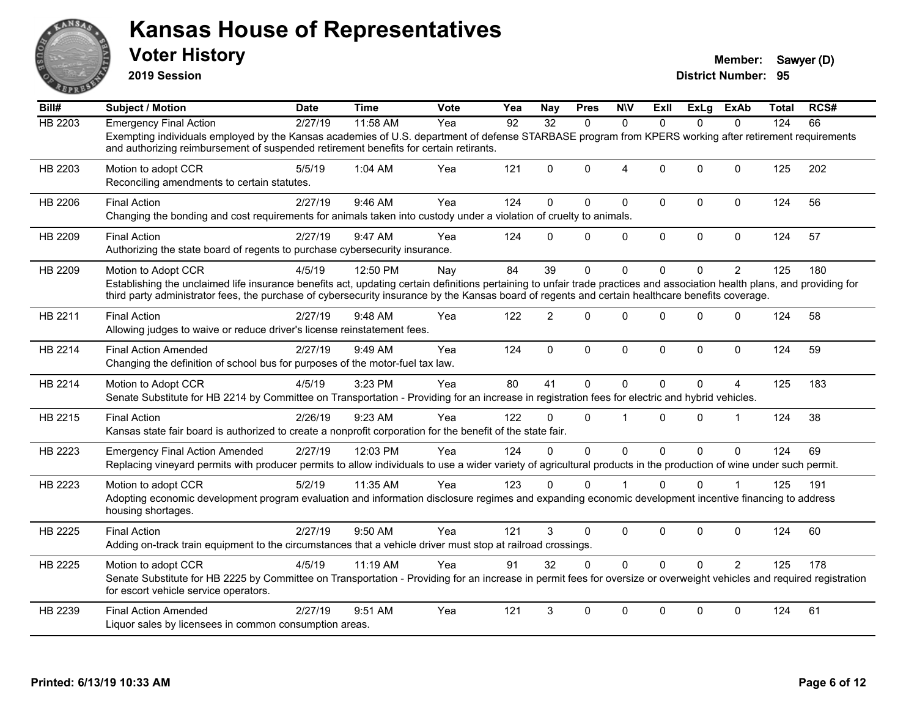

**2019 Session**

| Bill#          | <b>Subject / Motion</b>                                                                                                                                                                                                                                                                                                                              | <b>Date</b> | <b>Time</b> | <b>Vote</b> | Yea | <b>Nay</b>     | <b>Pres</b> | <b>NIV</b>     | Exll         | ExLg     | ExAb           | <b>Total</b> | RCS# |
|----------------|------------------------------------------------------------------------------------------------------------------------------------------------------------------------------------------------------------------------------------------------------------------------------------------------------------------------------------------------------|-------------|-------------|-------------|-----|----------------|-------------|----------------|--------------|----------|----------------|--------------|------|
| <b>HB 2203</b> | <b>Emergency Final Action</b>                                                                                                                                                                                                                                                                                                                        | 2/27/19     | 11:58 AM    | Yea         | 92  | 32             | $\Omega$    | $\Omega$       | $\Omega$     | $\Omega$ | $\Omega$       | 124          | 66   |
|                | Exempting individuals employed by the Kansas academies of U.S. department of defense STARBASE program from KPERS working after retirement requirements<br>and authorizing reimbursement of suspended retirement benefits for certain retirants.                                                                                                      |             |             |             |     |                |             |                |              |          |                |              |      |
| HB 2203        | Motion to adopt CCR<br>Reconciling amendments to certain statutes.                                                                                                                                                                                                                                                                                   | 5/5/19      | 1:04 AM     | Yea         | 121 | $\Omega$       | $\Omega$    | $\overline{4}$ | $\Omega$     | $\Omega$ | $\mathbf{0}$   | 125          | 202  |
| HB 2206        | <b>Final Action</b><br>Changing the bonding and cost requirements for animals taken into custody under a violation of cruelty to animals.                                                                                                                                                                                                            | 2/27/19     | 9:46 AM     | Yea         | 124 | $\Omega$       | $\Omega$    | $\mathbf{0}$   | $\mathbf{0}$ | $\Omega$ | $\mathbf 0$    | 124          | 56   |
| HB 2209        | <b>Final Action</b><br>Authorizing the state board of regents to purchase cybersecurity insurance.                                                                                                                                                                                                                                                   | 2/27/19     | 9:47 AM     | Yea         | 124 | $\Omega$       | $\Omega$    | 0              | $\mathbf 0$  | 0        | $\mathbf 0$    | 124          | 57   |
| HB 2209        | Motion to Adopt CCR<br>Establishing the unclaimed life insurance benefits act, updating certain definitions pertaining to unfair trade practices and association health plans, and providing for<br>third party administrator fees, the purchase of cybersecurity insurance by the Kansas board of regents and certain healthcare benefits coverage. | 4/5/19      | 12:50 PM    | Nay         | 84  | 39             | $\Omega$    | $\Omega$       | $\Omega$     | 0        | $\overline{2}$ | 125          | 180  |
| HB 2211        | <b>Final Action</b><br>Allowing judges to waive or reduce driver's license reinstatement fees.                                                                                                                                                                                                                                                       | 2/27/19     | 9:48 AM     | Yea         | 122 | $\overline{2}$ | $\Omega$    | $\Omega$       | $\Omega$     | $\Omega$ | $\Omega$       | 124          | 58   |
| HB 2214        | <b>Final Action Amended</b><br>Changing the definition of school bus for purposes of the motor-fuel tax law.                                                                                                                                                                                                                                         | 2/27/19     | 9:49 AM     | Yea         | 124 | $\mathbf{0}$   | $\Omega$    | $\mathbf 0$    | $\mathbf{0}$ | $\Omega$ | $\mathbf 0$    | 124          | 59   |
| HB 2214        | Motion to Adopt CCR<br>Senate Substitute for HB 2214 by Committee on Transportation - Providing for an increase in registration fees for electric and hybrid vehicles.                                                                                                                                                                               | 4/5/19      | 3:23 PM     | Yea         | 80  | 41             | $\Omega$    | $\mathbf{0}$   | $\Omega$     | $\Omega$ | 4              | 125          | 183  |
| HB 2215        | <b>Final Action</b><br>Kansas state fair board is authorized to create a nonprofit corporation for the benefit of the state fair.                                                                                                                                                                                                                    | 2/26/19     | 9:23 AM     | Yea         | 122 | $\Omega$       | $\Omega$    | 1              | $\Omega$     | 0        | $\overline{1}$ | 124          | 38   |
| HB 2223        | <b>Emergency Final Action Amended</b><br>Replacing vineyard permits with producer permits to allow individuals to use a wider variety of agricultural products in the production of wine under such permit.                                                                                                                                          | 2/27/19     | 12:03 PM    | Yea         | 124 | $\Omega$       | $\Omega$    | $\mathbf 0$    | $\Omega$     | $\Omega$ | $\Omega$       | 124          | 69   |
| HB 2223        | Motion to adopt CCR<br>Adopting economic development program evaluation and information disclosure regimes and expanding economic development incentive financing to address<br>housing shortages.                                                                                                                                                   | 5/2/19      | 11:35 AM    | Yea         | 123 | $\Omega$       | $\Omega$    |                | $\Omega$     | 0        |                | 125          | 191  |
| HB 2225        | <b>Final Action</b><br>Adding on-track train equipment to the circumstances that a vehicle driver must stop at railroad crossings.                                                                                                                                                                                                                   | 2/27/19     | 9:50 AM     | Yea         | 121 | 3              | $\Omega$    | $\mathbf 0$    | $\mathbf{0}$ | $\Omega$ | $\mathbf 0$    | 124          | 60   |
| HB 2225        | Motion to adopt CCR<br>Senate Substitute for HB 2225 by Committee on Transportation - Providing for an increase in permit fees for oversize or overweight vehicles and required registration<br>for escort vehicle service operators.                                                                                                                | 4/5/19      | 11:19 AM    | Yea         | 91  | 32             | $\Omega$    | $\Omega$       | $\Omega$     | $\Omega$ | $\overline{2}$ | 125          | 178  |
| HB 2239        | <b>Final Action Amended</b><br>Liquor sales by licensees in common consumption areas.                                                                                                                                                                                                                                                                | 2/27/19     | 9:51 AM     | Yea         | 121 | 3              | $\Omega$    | $\Omega$       | $\mathbf{0}$ | $\Omega$ | 0              | 124          | 61   |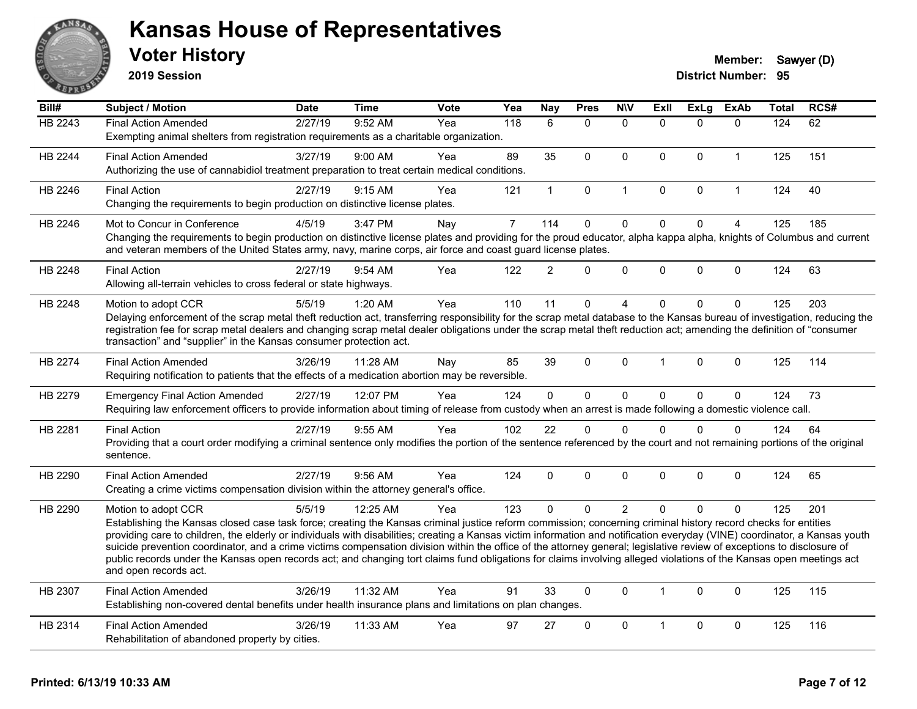

**2019 Session**

| Bill#          | <b>Subject / Motion</b>                                                                                                                                                                                                                                                                                                                       | <b>Date</b> | <b>Time</b> | Vote | Yea            | <b>Nay</b>     | <b>Pres</b>  | <b>N\V</b>     | <b>ExII</b>         | <b>ExLg</b> | <b>ExAb</b>  | <b>Total</b> | RCS# |
|----------------|-----------------------------------------------------------------------------------------------------------------------------------------------------------------------------------------------------------------------------------------------------------------------------------------------------------------------------------------------|-------------|-------------|------|----------------|----------------|--------------|----------------|---------------------|-------------|--------------|--------------|------|
| <b>HB 2243</b> | <b>Final Action Amended</b>                                                                                                                                                                                                                                                                                                                   | 2/27/19     | 9:52 AM     | Yea  | 118            | 6              | $\mathbf{0}$ | $\mathbf{0}$   | $\mathbf{0}$        | $\Omega$    | $\mathbf{0}$ | 124          | 62   |
|                | Exempting animal shelters from registration requirements as a charitable organization.                                                                                                                                                                                                                                                        |             |             |      |                |                |              |                |                     |             |              |              |      |
| HB 2244        | <b>Final Action Amended</b>                                                                                                                                                                                                                                                                                                                   | 3/27/19     | 9:00 AM     | Yea  | 89             | 35             | $\mathbf{0}$ | $\mathbf{0}$   | $\Omega$            | $\Omega$    | $\mathbf{1}$ | 125          | 151  |
|                | Authorizing the use of cannabidiol treatment preparation to treat certain medical conditions.                                                                                                                                                                                                                                                 |             |             |      |                |                |              |                |                     |             |              |              |      |
| HB 2246        | <b>Final Action</b>                                                                                                                                                                                                                                                                                                                           | 2/27/19     | 9:15 AM     | Yea  | 121            | $\mathbf{1}$   | $\pmb{0}$    | $\mathbf 1$    | $\mathsf{O}\xspace$ | 0           | $\mathbf{1}$ | 124          | 40   |
|                | Changing the requirements to begin production on distinctive license plates.                                                                                                                                                                                                                                                                  |             |             |      |                |                |              |                |                     |             |              |              |      |
| HB 2246        | Mot to Concur in Conference                                                                                                                                                                                                                                                                                                                   | 4/5/19      | 3:47 PM     | Nay  | $\overline{7}$ | 114            | $\mathbf 0$  | $\mathbf 0$    | 0                   | 0           | 4            | 125          | 185  |
|                | Changing the requirements to begin production on distinctive license plates and providing for the proud educator, alpha kappa alpha, knights of Columbus and current<br>and veteran members of the United States army, navy, marine corps, air force and coast guard license plates.                                                          |             |             |      |                |                |              |                |                     |             |              |              |      |
| HB 2248        | <b>Final Action</b>                                                                                                                                                                                                                                                                                                                           | 2/27/19     | 9:54 AM     | Yea  | 122            | $\overline{2}$ | $\mathbf{0}$ | $\mathbf{0}$   | $\Omega$            | $\Omega$    | $\mathbf 0$  | 124          | 63   |
|                | Allowing all-terrain vehicles to cross federal or state highways.                                                                                                                                                                                                                                                                             |             |             |      |                |                |              |                |                     |             |              |              |      |
| HB 2248        | Motion to adopt CCR                                                                                                                                                                                                                                                                                                                           | 5/5/19      | 1:20 AM     | Yea  | 110            | 11             | $\mathbf{0}$ | 4              | $\Omega$            | $\Omega$    | $\Omega$     | 125          | 203  |
|                | Delaying enforcement of the scrap metal theft reduction act, transferring responsibility for the scrap metal database to the Kansas bureau of investigation, reducing the                                                                                                                                                                     |             |             |      |                |                |              |                |                     |             |              |              |      |
|                | registration fee for scrap metal dealers and changing scrap metal dealer obligations under the scrap metal theft reduction act; amending the definition of "consumer<br>transaction" and "supplier" in the Kansas consumer protection act.                                                                                                    |             |             |      |                |                |              |                |                     |             |              |              |      |
|                |                                                                                                                                                                                                                                                                                                                                               |             |             |      |                |                |              |                |                     |             |              |              |      |
| <b>HB 2274</b> | <b>Final Action Amended</b>                                                                                                                                                                                                                                                                                                                   | 3/26/19     | 11:28 AM    | Nay  | 85             | 39             | $\mathbf{0}$ | $\Omega$       | 1                   | $\Omega$    | $\mathbf{0}$ | 125          | 114  |
|                | Requiring notification to patients that the effects of a medication abortion may be reversible.                                                                                                                                                                                                                                               |             |             |      |                |                |              |                |                     |             |              |              |      |
| HB 2279        | <b>Emergency Final Action Amended</b>                                                                                                                                                                                                                                                                                                         | 2/27/19     | 12:07 PM    | Yea  | 124            | $\Omega$       | $\mathbf{0}$ | $\mathbf 0$    | $\Omega$            | $\Omega$    | $\mathbf 0$  | 124          | 73   |
|                | Requiring law enforcement officers to provide information about timing of release from custody when an arrest is made following a domestic violence call.                                                                                                                                                                                     |             |             |      |                |                |              |                |                     |             |              |              |      |
| HB 2281        | <b>Final Action</b>                                                                                                                                                                                                                                                                                                                           | 2/27/19     | 9:55 AM     | Yea  | 102            | 22             | $\mathbf{0}$ | $\Omega$       | $\Omega$            | $\Omega$    | $\mathbf{0}$ | 124          | 64   |
|                | Providing that a court order modifying a criminal sentence only modifies the portion of the sentence referenced by the court and not remaining portions of the original                                                                                                                                                                       |             |             |      |                |                |              |                |                     |             |              |              |      |
|                | sentence.                                                                                                                                                                                                                                                                                                                                     |             |             |      |                |                |              |                |                     |             |              |              |      |
| HB 2290        | <b>Final Action Amended</b>                                                                                                                                                                                                                                                                                                                   | 2/27/19     | 9:56 AM     | Yea  | 124            | $\Omega$       | $\mathbf{0}$ | $\mathbf{0}$   | $\Omega$            | $\Omega$    | $\mathbf{0}$ | 124          | 65   |
|                | Creating a crime victims compensation division within the attorney general's office.                                                                                                                                                                                                                                                          |             |             |      |                |                |              |                |                     |             |              |              |      |
| HB 2290        | Motion to adopt CCR                                                                                                                                                                                                                                                                                                                           | 5/5/19      | 12:25 AM    | Yea  | 123            | $\Omega$       | $\mathbf{0}$ | $\overline{2}$ | $\Omega$            | $\Omega$    | $\Omega$     | 125          | 201  |
|                | Establishing the Kansas closed case task force; creating the Kansas criminal justice reform commission; concerning criminal history record checks for entities                                                                                                                                                                                |             |             |      |                |                |              |                |                     |             |              |              |      |
|                | providing care to children, the elderly or individuals with disabilities; creating a Kansas victim information and notification everyday (VINE) coordinator, a Kansas youth                                                                                                                                                                   |             |             |      |                |                |              |                |                     |             |              |              |      |
|                | suicide prevention coordinator, and a crime victims compensation division within the office of the attorney general; legislative review of exceptions to disclosure of<br>public records under the Kansas open records act; and changing tort claims fund obligations for claims involving alleged violations of the Kansas open meetings act |             |             |      |                |                |              |                |                     |             |              |              |      |
|                | and open records act.                                                                                                                                                                                                                                                                                                                         |             |             |      |                |                |              |                |                     |             |              |              |      |
| HB 2307        | <b>Final Action Amended</b>                                                                                                                                                                                                                                                                                                                   | 3/26/19     | 11:32 AM    | Yea  | 91             | 33             | $\mathbf{0}$ | $\Omega$       | $\mathbf{1}$        | $\Omega$    | $\mathbf{0}$ | 125          | 115  |
|                | Establishing non-covered dental benefits under health insurance plans and limitations on plan changes.                                                                                                                                                                                                                                        |             |             |      |                |                |              |                |                     |             |              |              |      |
| HB 2314        | <b>Final Action Amended</b>                                                                                                                                                                                                                                                                                                                   | 3/26/19     | 11:33 AM    | Yea  | 97             | 27             | $\Omega$     | $\Omega$       | 1                   | $\Omega$    | $\mathbf{0}$ | 125          | 116  |
|                | Rehabilitation of abandoned property by cities.                                                                                                                                                                                                                                                                                               |             |             |      |                |                |              |                |                     |             |              |              |      |
|                |                                                                                                                                                                                                                                                                                                                                               |             |             |      |                |                |              |                |                     |             |              |              |      |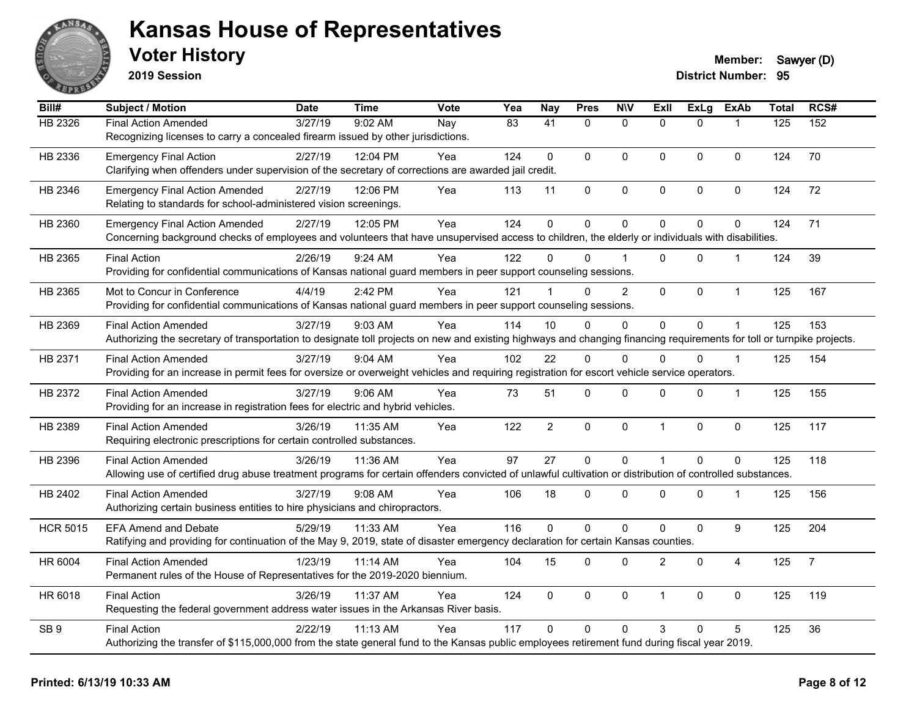

**2019 Session**

| Bill#           | <b>Subject / Motion</b>                                                                                                                                                | <b>Date</b> | <b>Time</b> | <b>Vote</b> | Yea             | <b>Nay</b>      | <b>Pres</b>  | <b>N\V</b>     | ExII           | <b>ExLg</b> | <b>ExAb</b>      | <b>Total</b> | RCS#           |
|-----------------|------------------------------------------------------------------------------------------------------------------------------------------------------------------------|-------------|-------------|-------------|-----------------|-----------------|--------------|----------------|----------------|-------------|------------------|--------------|----------------|
| HB 2326         | <b>Final Action Amended</b>                                                                                                                                            | 3/27/19     | 9:02 AM     | Nay         | $\overline{83}$ | $\overline{41}$ | $\mathbf{0}$ | $\mathbf 0$    | $\Omega$       | $\Omega$    |                  | 125          | 152            |
|                 | Recognizing licenses to carry a concealed firearm issued by other jurisdictions.                                                                                       |             |             |             |                 |                 |              |                |                |             |                  |              |                |
| HB 2336         | <b>Emergency Final Action</b>                                                                                                                                          | 2/27/19     | 12:04 PM    | Yea         | 124             | $\Omega$        | $\Omega$     | $\Omega$       | $\mathbf{0}$   | $\mathbf 0$ | $\mathbf 0$      | 124          | 70             |
|                 | Clarifying when offenders under supervision of the secretary of corrections are awarded jail credit.                                                                   |             |             |             |                 |                 |              |                |                |             |                  |              |                |
| HB 2346         | <b>Emergency Final Action Amended</b>                                                                                                                                  | 2/27/19     | 12:06 PM    | Yea         | 113             | 11              | 0            | 0              | $\pmb{0}$      | 0           | 0                | 124          | 72             |
|                 | Relating to standards for school-administered vision screenings.                                                                                                       |             |             |             |                 |                 |              |                |                |             |                  |              |                |
| HB 2360         | <b>Emergency Final Action Amended</b>                                                                                                                                  | 2/27/19     | 12:05 PM    | Yea         | 124             | $\mathbf 0$     | 0            | $\mathbf 0$    | $\mathbf{0}$   | 0           | $\mathbf{0}$     | 124          | 71             |
|                 | Concerning background checks of employees and volunteers that have unsupervised access to children, the elderly or individuals with disabilities.                      |             |             |             |                 |                 |              |                |                |             |                  |              |                |
| HB 2365         | <b>Final Action</b>                                                                                                                                                    | 2/26/19     | 9:24 AM     | Yea         | 122             | 0               | $\Omega$     |                | $\Omega$       | $\Omega$    |                  | 124          | 39             |
|                 | Providing for confidential communications of Kansas national guard members in peer support counseling sessions.                                                        |             |             |             |                 |                 |              |                |                |             |                  |              |                |
| HB 2365         | Mot to Concur in Conference                                                                                                                                            | 4/4/19      | 2:42 PM     | Yea         | 121             | $\mathbf 1$     | $\Omega$     | $\overline{2}$ | $\mathbf{0}$   | $\Omega$    | $\mathbf{1}$     | 125          | 167            |
|                 | Providing for confidential communications of Kansas national guard members in peer support counseling sessions.                                                        |             |             |             |                 |                 |              |                |                |             |                  |              |                |
| HB 2369         | <b>Final Action Amended</b>                                                                                                                                            | 3/27/19     | $9:03$ AM   | Yea         | 114             | 10              | $\mathbf{0}$ | 0              | $\mathbf{0}$   | $\Omega$    |                  | 125          | 153            |
|                 | Authorizing the secretary of transportation to designate toll projects on new and existing highways and changing financing requirements for toll or turnpike projects. |             |             |             |                 |                 |              |                |                |             |                  |              |                |
| HB 2371         | <b>Final Action Amended</b>                                                                                                                                            | 3/27/19     | 9:04 AM     | Yea         | 102             | 22              | $\Omega$     | $\Omega$       | $\Omega$       | $\Omega$    | $\overline{1}$   | 125          | 154            |
|                 | Providing for an increase in permit fees for oversize or overweight vehicles and requiring registration for escort vehicle service operators.                          |             |             |             |                 |                 |              |                |                |             |                  |              |                |
| HB 2372         | <b>Final Action Amended</b>                                                                                                                                            | 3/27/19     | $9:06$ AM   | Yea         | 73              | 51              | 0            | 0              | $\Omega$       | 0           | $\mathbf{1}$     | 125          | 155            |
|                 | Providing for an increase in registration fees for electric and hybrid vehicles.                                                                                       |             |             |             |                 |                 |              |                |                |             |                  |              |                |
| HB 2389         | <b>Final Action Amended</b>                                                                                                                                            | 3/26/19     | 11:35 AM    | Yea         | 122             | $\overline{2}$  | 0            | 0              | $\overline{1}$ | 0           | $\pmb{0}$        | 125          | 117            |
|                 | Requiring electronic prescriptions for certain controlled substances.                                                                                                  |             |             |             |                 |                 |              |                |                |             |                  |              |                |
| HB 2396         | <b>Final Action Amended</b>                                                                                                                                            | 3/26/19     | 11:36 AM    | Yea         | 97              | 27              | 0            | $\mathbf 0$    | $\overline{1}$ | $\Omega$    | $\mathbf 0$      | 125          | 118            |
|                 | Allowing use of certified drug abuse treatment programs for certain offenders convicted of unlawful cultivation or distribution of controlled substances.              |             |             |             |                 |                 |              |                |                |             |                  |              |                |
| HB 2402         | <b>Final Action Amended</b>                                                                                                                                            | 3/27/19     | $9:08$ AM   | Yea         | 106             | 18              | 0            | $\Omega$       | $\Omega$       | $\Omega$    | -1               | 125          | 156            |
|                 | Authorizing certain business entities to hire physicians and chiropractors.                                                                                            |             |             |             |                 |                 |              |                |                |             |                  |              |                |
| <b>HCR 5015</b> | <b>EFA Amend and Debate</b>                                                                                                                                            | 5/29/19     | 11:33 AM    | Yea         | 116             | $\Omega$        | $\mathbf 0$  | 0              | $\mathbf{0}$   | 0           | $\boldsymbol{9}$ | 125          | 204            |
|                 | Ratifying and providing for continuation of the May 9, 2019, state of disaster emergency declaration for certain Kansas counties.                                      |             |             |             |                 |                 |              |                |                |             |                  |              |                |
| HR 6004         | <b>Final Action Amended</b>                                                                                                                                            | 1/23/19     | 11:14 AM    | Yea         | 104             | 15              | 0            | 0              | $\overline{2}$ | $\mathbf 0$ | 4                | 125          | $\overline{7}$ |
|                 | Permanent rules of the House of Representatives for the 2019-2020 biennium.                                                                                            |             |             |             |                 |                 |              |                |                |             |                  |              |                |
| HR 6018         | <b>Final Action</b>                                                                                                                                                    | 3/26/19     | 11:37 AM    | Yea         | 124             | $\mathbf 0$     | 0            | 0              | $\overline{1}$ | 0           | $\mathbf 0$      | 125          | 119            |
|                 | Requesting the federal government address water issues in the Arkansas River basis.                                                                                    |             |             |             |                 |                 |              |                |                |             |                  |              |                |
| SB <sub>9</sub> | <b>Final Action</b>                                                                                                                                                    | 2/22/19     | 11:13 AM    | Yea         | 117             | $\Omega$        | $\mathbf{0}$ | $\Omega$       | 3              | 0           | 5                | 125          | 36             |
|                 | Authorizing the transfer of \$115,000,000 from the state general fund to the Kansas public employees retirement fund during fiscal year 2019.                          |             |             |             |                 |                 |              |                |                |             |                  |              |                |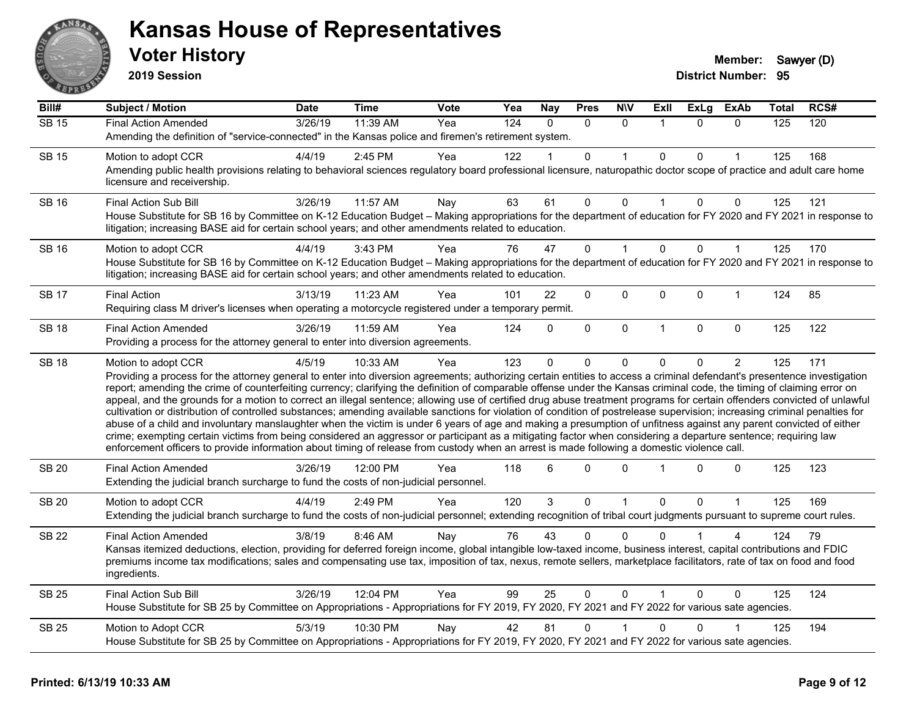

**2019 Session**

| Bill#        | <b>Subject / Motion</b>                                                                                                                                                                                                                                                                                                                                                                                                                                                                                                                                                                                                                                                                                                                                                                                                                                                                                                                                                                                                                                                                                                                                                                                                     | Date    | <b>Time</b> | Vote | Yea              | <b>Nay</b> | <b>Pres</b> | <b>NIV</b>   | ExII         | <b>ExLg</b>  | <b>ExAb</b>    | Total | RCS# |
|--------------|-----------------------------------------------------------------------------------------------------------------------------------------------------------------------------------------------------------------------------------------------------------------------------------------------------------------------------------------------------------------------------------------------------------------------------------------------------------------------------------------------------------------------------------------------------------------------------------------------------------------------------------------------------------------------------------------------------------------------------------------------------------------------------------------------------------------------------------------------------------------------------------------------------------------------------------------------------------------------------------------------------------------------------------------------------------------------------------------------------------------------------------------------------------------------------------------------------------------------------|---------|-------------|------|------------------|------------|-------------|--------------|--------------|--------------|----------------|-------|------|
| <b>SB 15</b> | <b>Final Action Amended</b>                                                                                                                                                                                                                                                                                                                                                                                                                                                                                                                                                                                                                                                                                                                                                                                                                                                                                                                                                                                                                                                                                                                                                                                                 | 3/26/19 | 11:39 AM    | Yea  | $\overline{124}$ | $\Omega$   | $\Omega$    | $\Omega$     |              | $\Omega$     | $\Omega$       | 125   | 120  |
|              | Amending the definition of "service-connected" in the Kansas police and firemen's retirement system.                                                                                                                                                                                                                                                                                                                                                                                                                                                                                                                                                                                                                                                                                                                                                                                                                                                                                                                                                                                                                                                                                                                        |         |             |      |                  |            |             |              |              |              |                |       |      |
| <b>SB 15</b> | Motion to adopt CCR                                                                                                                                                                                                                                                                                                                                                                                                                                                                                                                                                                                                                                                                                                                                                                                                                                                                                                                                                                                                                                                                                                                                                                                                         | 4/4/19  | 2:45 PM     | Yea  | 122              |            | $\Omega$    |              | $\mathbf{0}$ | $\Omega$     |                | 125   | 168  |
|              | Amending public health provisions relating to behavioral sciences regulatory board professional licensure, naturopathic doctor scope of practice and adult care home<br>licensure and receivership.                                                                                                                                                                                                                                                                                                                                                                                                                                                                                                                                                                                                                                                                                                                                                                                                                                                                                                                                                                                                                         |         |             |      |                  |            |             |              |              |              |                |       |      |
| <b>SB 16</b> | Final Action Sub Bill                                                                                                                                                                                                                                                                                                                                                                                                                                                                                                                                                                                                                                                                                                                                                                                                                                                                                                                                                                                                                                                                                                                                                                                                       | 3/26/19 | 11:57 AM    | Nay  | 63               | 61         | 0           | $\Omega$     |              | $\Omega$     | 0              | 125   | 121  |
|              | House Substitute for SB 16 by Committee on K-12 Education Budget - Making appropriations for the department of education for FY 2020 and FY 2021 in response to<br>litigation; increasing BASE aid for certain school years; and other amendments related to education.                                                                                                                                                                                                                                                                                                                                                                                                                                                                                                                                                                                                                                                                                                                                                                                                                                                                                                                                                     |         |             |      |                  |            |             |              |              |              |                |       |      |
| <b>SB 16</b> | Motion to adopt CCR                                                                                                                                                                                                                                                                                                                                                                                                                                                                                                                                                                                                                                                                                                                                                                                                                                                                                                                                                                                                                                                                                                                                                                                                         | 4/4/19  | 3:43 PM     | Yea  | 76               | 47         | 0           |              | $\mathbf 0$  | $\Omega$     | 1              | 125   | 170  |
|              | House Substitute for SB 16 by Committee on K-12 Education Budget - Making appropriations for the department of education for FY 2020 and FY 2021 in response to<br>litigation; increasing BASE aid for certain school years; and other amendments related to education.                                                                                                                                                                                                                                                                                                                                                                                                                                                                                                                                                                                                                                                                                                                                                                                                                                                                                                                                                     |         |             |      |                  |            |             |              |              |              |                |       |      |
| <b>SB 17</b> | <b>Final Action</b>                                                                                                                                                                                                                                                                                                                                                                                                                                                                                                                                                                                                                                                                                                                                                                                                                                                                                                                                                                                                                                                                                                                                                                                                         | 3/13/19 | 11:23 AM    | Yea  | 101              | 22         | 0           | 0            | $\mathbf 0$  | 0            | 1              | 124   | 85   |
|              | Requiring class M driver's licenses when operating a motorcycle registered under a temporary permit.                                                                                                                                                                                                                                                                                                                                                                                                                                                                                                                                                                                                                                                                                                                                                                                                                                                                                                                                                                                                                                                                                                                        |         |             |      |                  |            |             |              |              |              |                |       |      |
| <b>SB 18</b> | <b>Final Action Amended</b>                                                                                                                                                                                                                                                                                                                                                                                                                                                                                                                                                                                                                                                                                                                                                                                                                                                                                                                                                                                                                                                                                                                                                                                                 | 3/26/19 | 11:59 AM    | Yea  | 124              | $\Omega$   | 0           | $\mathbf 0$  | $\mathbf{1}$ | $\mathbf{0}$ | $\mathbf 0$    | 125   | 122  |
|              | Providing a process for the attorney general to enter into diversion agreements.                                                                                                                                                                                                                                                                                                                                                                                                                                                                                                                                                                                                                                                                                                                                                                                                                                                                                                                                                                                                                                                                                                                                            |         |             |      |                  |            |             |              |              |              |                |       |      |
| <b>SB 18</b> | Motion to adopt CCR<br>Providing a process for the attorney general to enter into diversion agreements; authorizing certain entities to access a criminal defendant's presentence investigation<br>report; amending the crime of counterfeiting currency; clarifying the definition of comparable offense under the Kansas criminal code, the timing of claiming error on<br>appeal, and the grounds for a motion to correct an illegal sentence; allowing use of certified drug abuse treatment programs for certain offenders convicted of unlawful<br>cultivation or distribution of controlled substances; amending available sanctions for violation of condition of postrelease supervision; increasing criminal penalties for<br>abuse of a child and involuntary manslaughter when the victim is under 6 years of age and making a presumption of unfitness against any parent convicted of either<br>crime; exempting certain victims from being considered an aggressor or participant as a mitigating factor when considering a departure sentence; requiring law<br>enforcement officers to provide information about timing of release from custody when an arrest is made following a domestic violence call. | 4/5/19  | 10:33 AM    | Yea  | 123              | $\Omega$   | 0           | 0            | $\Omega$     | 0            | $\overline{2}$ | 125   | 171  |
| <b>SB 20</b> | <b>Final Action Amended</b><br>Extending the judicial branch surcharge to fund the costs of non-judicial personnel.                                                                                                                                                                                                                                                                                                                                                                                                                                                                                                                                                                                                                                                                                                                                                                                                                                                                                                                                                                                                                                                                                                         | 3/26/19 | 12:00 PM    | Yea  | 118              | 6          | $\Omega$    | $\Omega$     |              | $\Omega$     | 0              | 125   | 123  |
| <b>SB 20</b> | Motion to adopt CCR                                                                                                                                                                                                                                                                                                                                                                                                                                                                                                                                                                                                                                                                                                                                                                                                                                                                                                                                                                                                                                                                                                                                                                                                         | 4/4/19  | 2:49 PM     | Yea  | 120              | 3          | 0           | $\mathbf{1}$ | $\mathbf 0$  | 0            | 1              | 125   | 169  |
|              | Extending the judicial branch surcharge to fund the costs of non-judicial personnel; extending recognition of tribal court judgments pursuant to supreme court rules.                                                                                                                                                                                                                                                                                                                                                                                                                                                                                                                                                                                                                                                                                                                                                                                                                                                                                                                                                                                                                                                       |         |             |      |                  |            |             |              |              |              |                |       |      |
| <b>SB 22</b> | <b>Final Action Amended</b>                                                                                                                                                                                                                                                                                                                                                                                                                                                                                                                                                                                                                                                                                                                                                                                                                                                                                                                                                                                                                                                                                                                                                                                                 | 3/8/19  | 8:46 AM     | Nay  | 76               | 43         | 0           | $\Omega$     | <sup>0</sup> |              |                | 124   | 79   |
|              | Kansas itemized deductions, election, providing for deferred foreign income, global intangible low-taxed income, business interest, capital contributions and FDIC<br>premiums income tax modifications; sales and compensating use tax, imposition of tax, nexus, remote sellers, marketplace facilitators, rate of tax on food and food<br>ingredients.                                                                                                                                                                                                                                                                                                                                                                                                                                                                                                                                                                                                                                                                                                                                                                                                                                                                   |         |             |      |                  |            |             |              |              |              |                |       |      |
| <b>SB 25</b> | <b>Final Action Sub Bill</b>                                                                                                                                                                                                                                                                                                                                                                                                                                                                                                                                                                                                                                                                                                                                                                                                                                                                                                                                                                                                                                                                                                                                                                                                | 3/26/19 | 12:04 PM    | Yea  | 99               | 25         | $\Omega$    | $\mathbf{0}$ |              | $\Omega$     | $\Omega$       | 125   | 124  |
|              | House Substitute for SB 25 by Committee on Appropriations - Appropriations for FY 2019, FY 2020, FY 2021 and FY 2022 for various sate agencies.                                                                                                                                                                                                                                                                                                                                                                                                                                                                                                                                                                                                                                                                                                                                                                                                                                                                                                                                                                                                                                                                             |         |             |      |                  |            |             |              |              |              |                |       |      |
| <b>SB 25</b> | Motion to Adopt CCR                                                                                                                                                                                                                                                                                                                                                                                                                                                                                                                                                                                                                                                                                                                                                                                                                                                                                                                                                                                                                                                                                                                                                                                                         | 5/3/19  | 10:30 PM    | Nay  | 42               | 81         | 0           |              | $\mathbf{0}$ | 0            |                | 125   | 194  |
|              | House Substitute for SB 25 by Committee on Appropriations - Appropriations for FY 2019, FY 2020, FY 2021 and FY 2022 for various sate agencies.                                                                                                                                                                                                                                                                                                                                                                                                                                                                                                                                                                                                                                                                                                                                                                                                                                                                                                                                                                                                                                                                             |         |             |      |                  |            |             |              |              |              |                |       |      |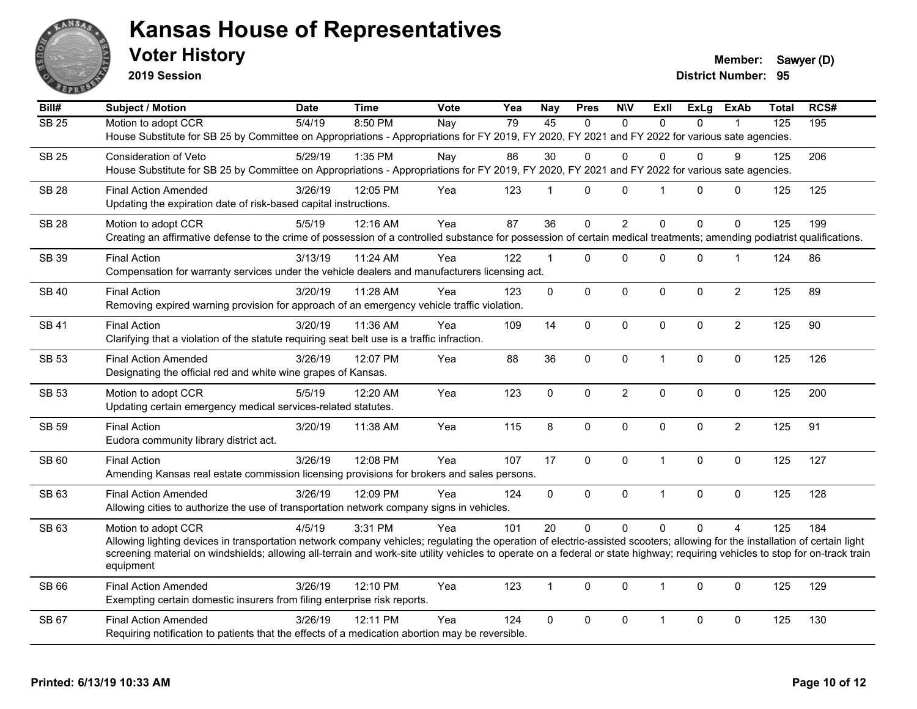

**2019 Session**

**Voter History Member:** Sawyer (D)

| Bill#        | <b>Subject / Motion</b>                                                                                                                                                        | <b>Date</b> | <b>Time</b> | <b>Vote</b> | Yea | <b>Nay</b>      | <b>Pres</b> | <b>NIV</b>     | ExII           | <b>ExLg</b> | <b>ExAb</b>    | Total          | RCS# |
|--------------|--------------------------------------------------------------------------------------------------------------------------------------------------------------------------------|-------------|-------------|-------------|-----|-----------------|-------------|----------------|----------------|-------------|----------------|----------------|------|
| <b>SB 25</b> | Motion to adopt CCR                                                                                                                                                            | 5/4/19      | 8:50 PM     | Nay         | 79  | $\overline{45}$ | $\Omega$    | $\Omega$       | $\Omega$       | $\Omega$    |                | $\frac{1}{25}$ | 195  |
|              | House Substitute for SB 25 by Committee on Appropriations - Appropriations for FY 2019, FY 2020, FY 2021 and FY 2022 for various sate agencies.                                |             |             |             |     |                 |             |                |                |             |                |                |      |
| <b>SB 25</b> | Consideration of Veto                                                                                                                                                          | 5/29/19     | 1:35 PM     | Nay         | 86  | 30              | $\Omega$    | $\Omega$       | $\Omega$       | 0           | 9              | 125            | 206  |
|              | House Substitute for SB 25 by Committee on Appropriations - Appropriations for FY 2019, FY 2020, FY 2021 and FY 2022 for various sate agencies.                                |             |             |             |     |                 |             |                |                |             |                |                |      |
| <b>SB 28</b> | <b>Final Action Amended</b>                                                                                                                                                    | 3/26/19     | 12:05 PM    | Yea         | 123 | $\mathbf{1}$    | $\mathbf 0$ | $\mathbf 0$    | $\mathbf{1}$   | $\Omega$    | $\mathbf 0$    | 125            | 125  |
|              | Updating the expiration date of risk-based capital instructions.                                                                                                               |             |             |             |     |                 |             |                |                |             |                |                |      |
| <b>SB 28</b> | Motion to adopt CCR                                                                                                                                                            | 5/5/19      | 12:16 AM    | Yea         | 87  | 36              | $\mathbf 0$ | $\overline{2}$ | $\Omega$       | $\mathbf 0$ | $\Omega$       | 125            | 199  |
|              | Creating an affirmative defense to the crime of possession of a controlled substance for possession of certain medical treatments; amending podiatrist qualifications.         |             |             |             |     |                 |             |                |                |             |                |                |      |
|              |                                                                                                                                                                                |             |             |             |     |                 |             |                |                |             |                |                |      |
| <b>SB 39</b> | <b>Final Action</b><br>Compensation for warranty services under the vehicle dealers and manufacturers licensing act.                                                           | 3/13/19     | 11:24 AM    | Yea         | 122 | $\mathbf 1$     | $\Omega$    | $\mathbf 0$    | $\Omega$       | 0           | $\mathbf 1$    | 124            | 86   |
|              |                                                                                                                                                                                |             |             |             |     |                 |             |                |                |             |                |                |      |
| <b>SB 40</b> | <b>Final Action</b>                                                                                                                                                            | 3/20/19     | 11:28 AM    | Yea         | 123 | $\mathbf 0$     | $\mathbf 0$ | $\mathbf 0$    | $\mathbf{0}$   | 0           | $\overline{2}$ | 125            | 89   |
|              | Removing expired warning provision for approach of an emergency vehicle traffic violation.                                                                                     |             |             |             |     |                 |             |                |                |             |                |                |      |
| <b>SB 41</b> | <b>Final Action</b>                                                                                                                                                            | 3/20/19     | 11:36 AM    | Yea         | 109 | 14              | $\Omega$    | $\mathbf 0$    | $\Omega$       | $\Omega$    | $\overline{2}$ | 125            | 90   |
|              | Clarifying that a violation of the statute requiring seat belt use is a traffic infraction.                                                                                    |             |             |             |     |                 |             |                |                |             |                |                |      |
| <b>SB 53</b> | <b>Final Action Amended</b>                                                                                                                                                    | 3/26/19     | 12:07 PM    | Yea         | 88  | 36              | 0           | $\mathbf 0$    | $\mathbf{1}$   | 0           | $\mathbf 0$    | 125            | 126  |
|              | Designating the official red and white wine grapes of Kansas.                                                                                                                  |             |             |             |     |                 |             |                |                |             |                |                |      |
| <b>SB 53</b> | Motion to adopt CCR                                                                                                                                                            | 5/5/19      | 12:20 AM    | Yea         | 123 | $\mathbf 0$     | $\mathbf 0$ | $\overline{c}$ | $\mathbf 0$    | 0           | $\pmb{0}$      | 125            | 200  |
|              | Updating certain emergency medical services-related statutes.                                                                                                                  |             |             |             |     |                 |             |                |                |             |                |                |      |
|              |                                                                                                                                                                                |             |             |             |     |                 |             |                |                |             |                |                |      |
| <b>SB 59</b> | <b>Final Action</b>                                                                                                                                                            | 3/20/19     | 11:38 AM    | Yea         | 115 | 8               | $\mathbf 0$ | $\mathbf 0$    | $\mathbf 0$    | $\mathbf 0$ | $\overline{2}$ | 125            | 91   |
|              | Eudora community library district act.                                                                                                                                         |             |             |             |     |                 |             |                |                |             |                |                |      |
| SB 60        | <b>Final Action</b>                                                                                                                                                            | 3/26/19     | 12:08 PM    | Yea         | 107 | 17              | 0           | $\pmb{0}$      | $\mathbf{1}$   | 0           | $\mathbf 0$    | 125            | 127  |
|              | Amending Kansas real estate commission licensing provisions for brokers and sales persons.                                                                                     |             |             |             |     |                 |             |                |                |             |                |                |      |
| SB 63        | <b>Final Action Amended</b>                                                                                                                                                    | 3/26/19     | 12:09 PM    | Yea         | 124 | $\mathbf 0$     | 0           | $\pmb{0}$      | $\overline{1}$ | 0           | $\pmb{0}$      | 125            | 128  |
|              | Allowing cities to authorize the use of transportation network company signs in vehicles.                                                                                      |             |             |             |     |                 |             |                |                |             |                |                |      |
| SB 63        | Motion to adopt CCR                                                                                                                                                            | 4/5/19      | 3:31 PM     | Yea         | 101 | 20              | $\Omega$    | $\Omega$       | $\Omega$       | $\Omega$    | $\overline{4}$ | 125            | 184  |
|              | Allowing lighting devices in transportation network company vehicles; regulating the operation of electric-assisted scooters; allowing for the installation of certain light   |             |             |             |     |                 |             |                |                |             |                |                |      |
|              | screening material on windshields; allowing all-terrain and work-site utility vehicles to operate on a federal or state highway; requiring vehicles to stop for on-track train |             |             |             |     |                 |             |                |                |             |                |                |      |
|              | equipment                                                                                                                                                                      |             |             |             |     |                 |             |                |                |             |                |                |      |
| SB 66        | <b>Final Action Amended</b>                                                                                                                                                    | 3/26/19     | 12:10 PM    | Yea         | 123 | $\mathbf{1}$    | $\Omega$    | $\mathbf 0$    | $\mathbf{1}$   | $\Omega$    | $\mathbf 0$    | 125            | 129  |
|              | Exempting certain domestic insurers from filing enterprise risk reports.                                                                                                       |             |             |             |     |                 |             |                |                |             |                |                |      |
| SB 67        | <b>Final Action Amended</b>                                                                                                                                                    | 3/26/19     | 12:11 PM    | Yea         | 124 | $\mathbf 0$     | 0           | $\mathbf 0$    | $\mathbf{1}$   | 0           | $\mathbf 0$    | 125            | 130  |
|              | Requiring notification to patients that the effects of a medication abortion may be reversible.                                                                                |             |             |             |     |                 |             |                |                |             |                |                |      |
|              |                                                                                                                                                                                |             |             |             |     |                 |             |                |                |             |                |                |      |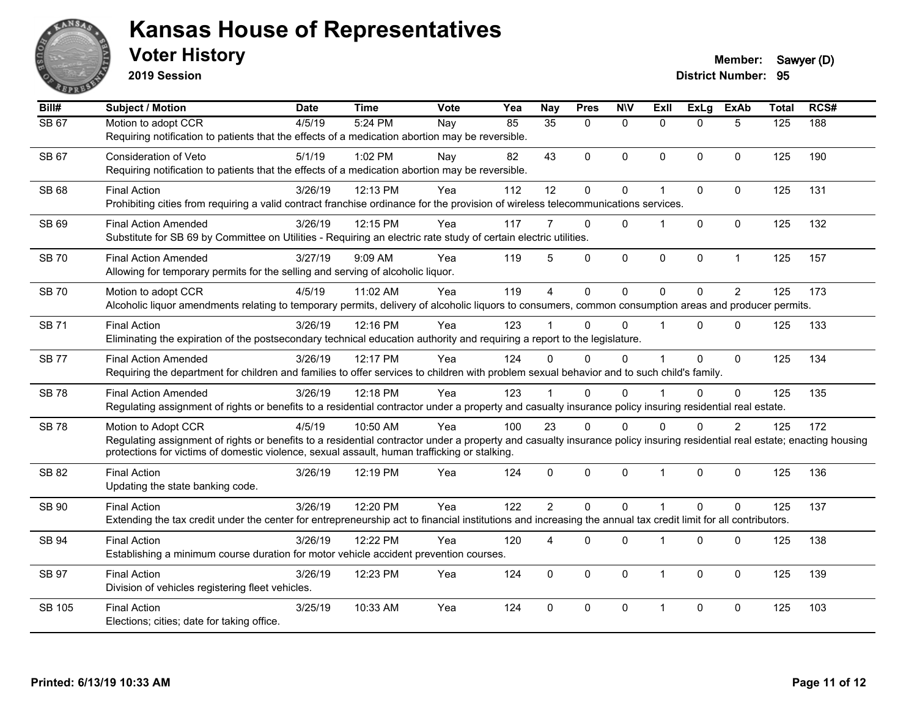

**2019 Session**

| Bill#        | <b>Subject / Motion</b>                                                                                                                                                   | <b>Date</b> | <b>Time</b> | Vote | Yea | <b>Nay</b>             | <b>Pres</b>    | <b>NIV</b>   | <b>ExII</b>          | ExLg         | <b>ExAb</b>    | <b>Total</b> | RCS# |
|--------------|---------------------------------------------------------------------------------------------------------------------------------------------------------------------------|-------------|-------------|------|-----|------------------------|----------------|--------------|----------------------|--------------|----------------|--------------|------|
| <b>SB 67</b> | Motion to adopt CCR                                                                                                                                                       | 4/5/19      | 5:24 PM     | Nay  | 85  | 35                     | $\Omega$       | $\mathbf{0}$ | $\Omega$             | $\Omega$     | 5              | 125          | 188  |
|              | Requiring notification to patients that the effects of a medication abortion may be reversible.                                                                           |             |             |      |     |                        |                |              |                      |              |                |              |      |
| SB 67        | Consideration of Veto                                                                                                                                                     | 5/1/19      | 1:02 PM     | Nay  | 82  | 43                     | $\Omega$       | $\mathbf{0}$ | $\Omega$             | $\mathbf{0}$ | $\Omega$       | 125          | 190  |
|              | Requiring notification to patients that the effects of a medication abortion may be reversible.                                                                           |             |             |      |     |                        |                |              |                      |              |                |              |      |
| SB 68        | <b>Final Action</b>                                                                                                                                                       | 3/26/19     | 12:13 PM    | Yea  | 112 | 12                     | 0              | $\pmb{0}$    | $\mathbf{1}$         | 0            | $\mathbf 0$    | 125          | 131  |
|              | Prohibiting cities from requiring a valid contract franchise ordinance for the provision of wireless telecommunications services.                                         |             |             |      |     |                        |                |              |                      |              |                |              |      |
| SB 69        | <b>Final Action Amended</b>                                                                                                                                               | 3/26/19     | 12:15 PM    | Yea  | 117 |                        | $\Omega$       | $\Omega$     | $\blacktriangleleft$ | $\Omega$     | $\Omega$       | 125          | 132  |
|              | Substitute for SB 69 by Committee on Utilities - Requiring an electric rate study of certain electric utilities.                                                          |             |             |      |     |                        |                |              |                      |              |                |              |      |
| <b>SB70</b>  | <b>Final Action Amended</b>                                                                                                                                               | 3/27/19     | 9:09 AM     | Yea  | 119 | 5                      | $\Omega$       | $\mathbf 0$  | $\Omega$             | 0            | $\mathbf{1}$   | 125          | 157  |
|              | Allowing for temporary permits for the selling and serving of alcoholic liquor.                                                                                           |             |             |      |     |                        |                |              |                      |              |                |              |      |
| <b>SB 70</b> | Motion to adopt CCR                                                                                                                                                       | 4/5/19      | 11:02 AM    | Yea  | 119 | $\boldsymbol{\Lambda}$ | $\Omega$       | $\mathbf 0$  | $\Omega$             | $\Omega$     | $\overline{2}$ | 125          | 173  |
|              | Alcoholic liquor amendments relating to temporary permits, delivery of alcoholic liquors to consumers, common consumption areas and producer permits.                     |             |             |      |     |                        |                |              |                      |              |                |              |      |
| <b>SB 71</b> | <b>Final Action</b>                                                                                                                                                       | 3/26/19     | 12:16 PM    | Yea  | 123 |                        | $\Omega$       | $\mathbf 0$  | $\blacktriangleleft$ | $\Omega$     | $\Omega$       | 125          | 133  |
|              | Eliminating the expiration of the postsecondary technical education authority and requiring a report to the legislature.                                                  |             |             |      |     |                        |                |              |                      |              |                |              |      |
| <b>SB77</b>  | <b>Final Action Amended</b>                                                                                                                                               | 3/26/19     | 12:17 PM    | Yea  | 124 | $\Omega$               | $\Omega$       | $\mathbf 0$  | 1                    | $\mathbf{0}$ | $\Omega$       | 125          | 134  |
|              | Requiring the department for children and families to offer services to children with problem sexual behavior and to such child's family.                                 |             |             |      |     |                        |                |              |                      |              |                |              |      |
| <b>SB78</b>  | <b>Final Action Amended</b>                                                                                                                                               | 3/26/19     | 12:18 PM    | Yea  | 123 |                        | $\Omega$       | $\mathbf{0}$ |                      | $\Omega$     | $\mathbf 0$    | 125          | 135  |
|              | Regulating assignment of rights or benefits to a residential contractor under a property and casualty insurance policy insuring residential real estate.                  |             |             |      |     |                        |                |              |                      |              |                |              |      |
| <b>SB78</b>  | Motion to Adopt CCR                                                                                                                                                       | 4/5/19      | 10:50 AM    | Yea  | 100 | 23                     | $\Omega$       | $\Omega$     | $\Omega$             | $\Omega$     | $\overline{2}$ | 125          | 172  |
|              | Regulating assignment of rights or benefits to a residential contractor under a property and casualty insurance policy insuring residential real estate; enacting housing |             |             |      |     |                        |                |              |                      |              |                |              |      |
|              | protections for victims of domestic violence, sexual assault, human trafficking or stalking.                                                                              |             |             |      |     |                        |                |              |                      |              |                |              |      |
| <b>SB 82</b> | <b>Final Action</b>                                                                                                                                                       | 3/26/19     | 12:19 PM    | Yea  | 124 | 0                      | $\Omega$       | $\mathbf 0$  | 1                    | $\Omega$     | $\mathbf 0$    | 125          | 136  |
|              | Updating the state banking code.                                                                                                                                          |             |             |      |     |                        |                |              |                      |              |                |              |      |
| <b>SB 90</b> | <b>Final Action</b>                                                                                                                                                       | 3/26/19     | 12:20 PM    | Yea  | 122 | $\overline{2}$         | $\Omega$       | $\mathbf 0$  | 1                    | $\Omega$     | $\mathbf 0$    | 125          | 137  |
|              | Extending the tax credit under the center for entrepreneurship act to financial institutions and increasing the annual tax credit limit for all contributors.             |             |             |      |     |                        |                |              |                      |              |                |              |      |
| <b>SB 94</b> | <b>Final Action</b>                                                                                                                                                       | 3/26/19     | 12:22 PM    | Yea  | 120 | 4                      | $\overline{0}$ | $\mathbf 0$  | $\overline{1}$       | 0            | 0              | 125          | 138  |
|              | Establishing a minimum course duration for motor vehicle accident prevention courses.                                                                                     |             |             |      |     |                        |                |              |                      |              |                |              |      |
| <b>SB 97</b> | <b>Final Action</b>                                                                                                                                                       | 3/26/19     | 12:23 PM    | Yea  | 124 | $\mathbf{0}$           | $\Omega$       | $\mathbf{0}$ | $\mathbf{1}$         | $\Omega$     | $\Omega$       | 125          | 139  |
|              | Division of vehicles registering fleet vehicles.                                                                                                                          |             |             |      |     |                        |                |              |                      |              |                |              |      |
| SB 105       | <b>Final Action</b>                                                                                                                                                       | 3/25/19     | 10:33 AM    | Yea  | 124 | 0                      | 0              | $\mathbf{0}$ | $\mathbf 1$          | $\mathbf{0}$ | $\Omega$       | 125          | 103  |
|              | Elections; cities; date for taking office.                                                                                                                                |             |             |      |     |                        |                |              |                      |              |                |              |      |